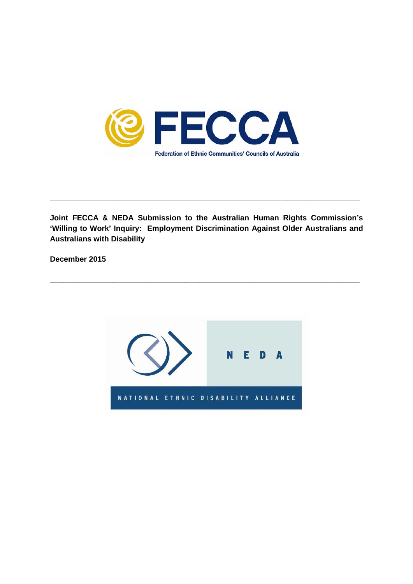

**Joint FECCA & NEDA Submission to the Australian Human Rights Commission's 'Willing to Work' Inquiry: Employment Discrimination Against Older Australians and Australians with Disability**

**\_\_\_\_\_\_\_\_\_\_\_\_\_\_\_\_\_\_\_\_\_\_\_\_\_\_\_\_\_\_\_\_\_\_\_\_\_\_\_\_\_\_\_\_\_\_\_\_\_\_\_\_\_\_\_\_\_\_\_\_\_\_\_\_\_\_\_\_\_\_\_\_\_**

**\_\_\_\_\_\_\_\_\_\_\_\_\_\_\_\_\_\_\_\_\_\_\_\_\_\_\_\_\_\_\_\_\_\_\_\_\_\_\_\_\_\_\_\_\_\_\_\_\_\_\_\_\_\_\_\_\_\_\_\_\_\_\_\_\_\_\_\_\_\_\_\_\_**

**December 2015**

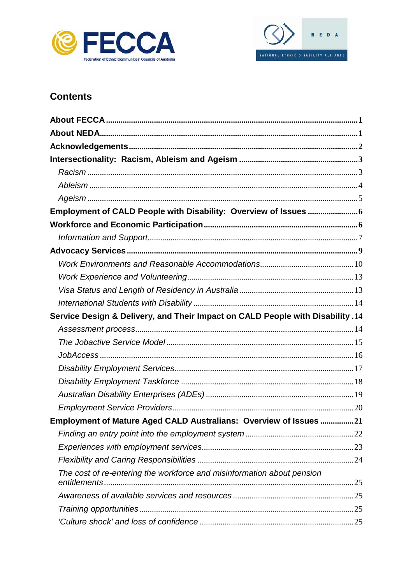



# **Contents**

| Service Design & Delivery, and Their Impact on CALD People with Disability .14 |  |
|--------------------------------------------------------------------------------|--|
|                                                                                |  |
|                                                                                |  |
|                                                                                |  |
|                                                                                |  |
|                                                                                |  |
|                                                                                |  |
|                                                                                |  |
| Employment of Mature Aged CALD Australians: Overview of Issues 21              |  |
|                                                                                |  |
|                                                                                |  |
|                                                                                |  |
| The cost of re-entering the workforce and misinformation about pension         |  |
|                                                                                |  |
|                                                                                |  |
|                                                                                |  |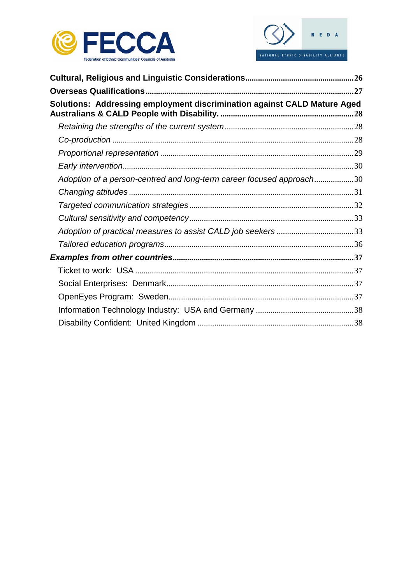



| Solutions: Addressing employment discrimination against CALD Mature Aged |  |
|--------------------------------------------------------------------------|--|
|                                                                          |  |
|                                                                          |  |
|                                                                          |  |
|                                                                          |  |
| Adoption of a person-centred and long-term career focused approach30     |  |
|                                                                          |  |
|                                                                          |  |
|                                                                          |  |
| Adoption of practical measures to assist CALD job seekers 33             |  |
|                                                                          |  |
|                                                                          |  |
|                                                                          |  |
|                                                                          |  |
|                                                                          |  |
|                                                                          |  |
|                                                                          |  |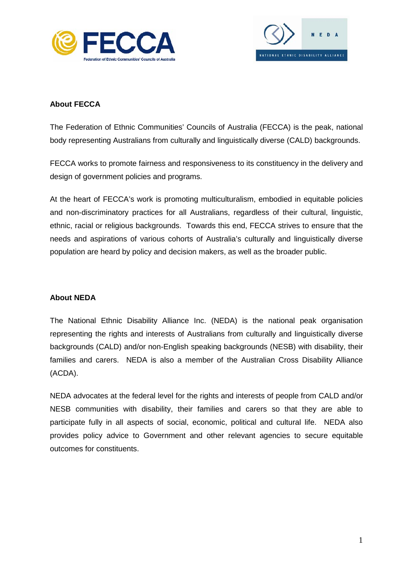



# <span id="page-3-0"></span>**About FECCA**

The Federation of Ethnic Communities' Councils of Australia (FECCA) is the peak, national body representing Australians from culturally and linguistically diverse (CALD) backgrounds.

FECCA works to promote fairness and responsiveness to its constituency in the delivery and design of government policies and programs.

At the heart of FECCA's work is promoting multiculturalism, embodied in equitable policies and non-discriminatory practices for all Australians, regardless of their cultural, linguistic, ethnic, racial or religious backgrounds. Towards this end, FECCA strives to ensure that the needs and aspirations of various cohorts of Australia's culturally and linguistically diverse population are heard by policy and decision makers, as well as the broader public.

# <span id="page-3-1"></span>**About NEDA**

The National Ethnic Disability Alliance Inc. (NEDA) is the national peak organisation representing the rights and interests of Australians from culturally and linguistically diverse backgrounds (CALD) and/or non-English speaking backgrounds (NESB) with disability, their families and carers. NEDA is also a member of the Australian Cross Disability Alliance (ACDA).

NEDA advocates at the federal level for the rights and interests of people from CALD and/or NESB communities with disability, their families and carers so that they are able to participate fully in all aspects of social, economic, political and cultural life. NEDA also provides policy advice to Government and other relevant agencies to secure equitable outcomes for constituents.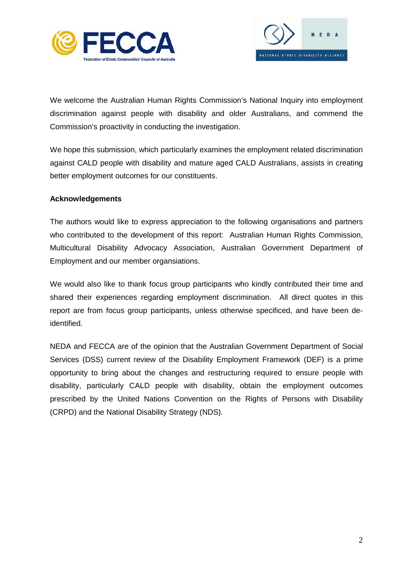



We welcome the Australian Human Rights Commission's National Inquiry into employment discrimination against people with disability and older Australians, and commend the Commission's proactivity in conducting the investigation.

We hope this submission, which particularly examines the employment related discrimination against CALD people with disability and mature aged CALD Australians, assists in creating better employment outcomes for our constituents.

# <span id="page-4-0"></span>**Acknowledgements**

The authors would like to express appreciation to the following organisations and partners who contributed to the development of this report: Australian Human Rights Commission, Multicultural Disability Advocacy Association, Australian Government Department of Employment and our member organsiations.

We would also like to thank focus group participants who kindly contributed their time and shared their experiences regarding employment discrimination. All direct quotes in this report are from focus group participants, unless otherwise specificed, and have been deidentified.

NEDA and FECCA are of the opinion that the Australian Government Department of Social Services (DSS) current review of the Disability Employment Framework (DEF) is a prime opportunity to bring about the changes and restructuring required to ensure people with disability, particularly CALD people with disability, obtain the employment outcomes prescribed by the United Nations Convention on the Rights of Persons with Disability (CRPD) and the National Disability Strategy (NDS).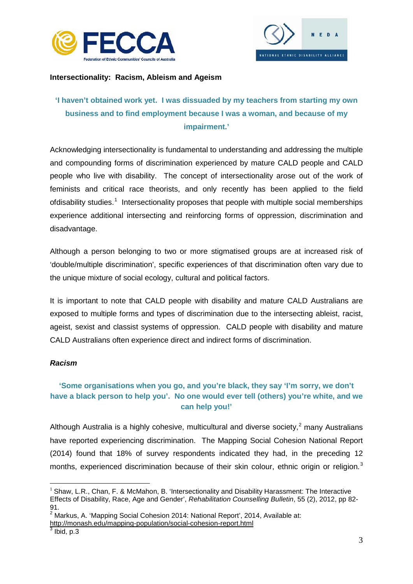



# <span id="page-5-0"></span>**Intersectionality: Racism, Ableism and Ageism**

# **'I haven't obtained work yet. I was dissuaded by my teachers from starting my own business and to find employment because I was a woman, and because of my impairment.'**

Acknowledging intersectionality is fundamental to understanding and addressing the multiple and compounding forms of discrimination experienced by mature CALD people and CALD people who live with disability. The concept of intersectionality arose out of the work of feminists and critical race theorists, and only recently has been applied to the field ofdisability studies.<sup>[1](#page-5-2)</sup> Intersectionality proposes that people with multiple social memberships experience additional intersecting and reinforcing forms of oppression, discrimination and disadvantage.

Although a person belonging to two or more stigmatised groups are at increased risk of 'double/multiple discrimination', specific experiences of that discrimination often vary due to the unique mixture of social ecology, cultural and political factors.

It is important to note that CALD people with disability and mature CALD Australians are exposed to multiple forms and types of discrimination due to the intersecting ableist, racist, ageist, sexist and classist systems of oppression. CALD people with disability and mature CALD Australians often experience direct and indirect forms of discrimination.

# <span id="page-5-1"></span>*Racism*

# **'Some organisations when you go, and you're black, they say 'I'm sorry, we don't have a black person to help you'. No one would ever tell (others) you're white, and we can help you!'**

Although Australia is a highly cohesive, multicultural and diverse society, $^2$  $^2$  many Australians have reported experiencing discrimination. The Mapping Social Cohesion National Report (2014) found that 18% of survey respondents indicated they had, in the preceding 12 months, experienced discrimination because of their skin colour, ethnic origin or religion.<sup>[3](#page-5-4)</sup>

<span id="page-5-4"></span><http://monash.edu/mapping-population/social-cohesion-report.html><br>
<sup>3</sup> Ibid. p.3

<span id="page-5-2"></span> $1$  Shaw, L.R., Chan, F. & McMahon, B. 'Intersectionality and Disability Harassment: The Interactive Effects of Disability, Race, Age and Gender', *Rehabilitation Counselling Bulletin*, 55 (2), 2012, pp 82- 91.

<span id="page-5-3"></span> $2^{2}$  Markus, A. 'Mapping Social Cohesion 2014: National Report', 2014, Available at: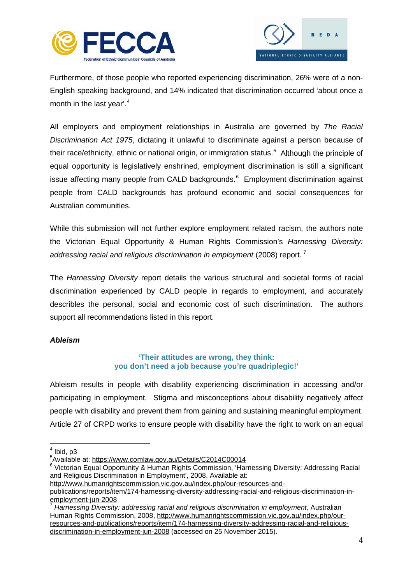



Furthermore, of those people who reported experiencing discrimination, 26% were of a non-English speaking background, and 14% indicated that discrimination occurred 'about once a month in the last year'.<sup>[4](#page-6-1)</sup>

All employers and employment relationships in Australia are governed by *The Racial Discrimination Act 1975*, dictating it unlawful to discriminate against a person because of their race/ethnicity, ethnic or national origin, or immigration status. [5](#page-6-2) Although the principle of equal opportunity is legislatively enshrined, employment discrimination is still a significant issue affecting many people from CALD backgrounds.<sup>[6](#page-6-3)</sup> Employment discrimination against people from CALD backgrounds has profound economic and social consequences for Australian communities.

While this submission will not further explore employment related racism, the authors note the Victorian Equal Opportunity & Human Rights Commission's *Harnessing Diversity: addressing racial and religious discrimination in employment* (2008) report. [7](#page-6-4)

The *Harnessing Diversity* report details the various structural and societal forms of racial discrimination experienced by CALD people in regards to employment, and accurately describles the personal, social and economic cost of such discrimination. The authors support all recommendations listed in this report.

# <span id="page-6-0"></span>*Ableism*

# **'Their attitudes are wrong, they think: you don't need a job because you're quadriplegic!'**

Ableism results in people with disability experiencing discrimination in accessing and/or participating in employment. Stigma and misconceptions about disability negatively affect people with disability and prevent them from gaining and sustaining meaningful employment. Article 27 of CRPD works to ensure people with disability have the right to work on an equal

 $<sup>4</sup>$  Ibid, p3</sup>

<span id="page-6-2"></span><span id="page-6-1"></span><sup>&</sup>lt;sup>5</sup>Available at: https://www.comlaw.gov.au/Details/C2014C00014

<span id="page-6-3"></span><sup>&</sup>lt;sup>6</sup> Victorian Equal Opportunity & Human Rights Commission, 'Harnessing Diversity: Addressing Racial and Religious Discrimination in Employment', 2008, Available at:

[http://www.humanrightscommission.vic.gov.au/index.php/our-resources-and](http://www.humanrightscommission.vic.gov.au/index.php/our-resources-and-publications/reports/item/174-harnessing-diversity-addressing-racial-and-religious-discrimination-in-employment-jun-2008)[publications/reports/item/174-harnessing-diversity-addressing-racial-and-religious-discrimination-in-](http://www.humanrightscommission.vic.gov.au/index.php/our-resources-and-publications/reports/item/174-harnessing-diversity-addressing-racial-and-religious-discrimination-in-employment-jun-2008)

<span id="page-6-4"></span><sup>&</sup>lt;sup>7</sup> Harnessing Diversity: addressing racial and religious discrimination in employment, Australian Human Rights Commission, 2008, [http://www.humanrightscommission.vic.gov.au/index.php/our](http://www.humanrightscommission.vic.gov.au/index.php/our-resources-and-publications/reports/item/174-harnessing-diversity-addressing-racial-and-religious-discrimination-in-employment-jun-2008)[resources-and-publications/reports/item/174-harnessing-diversity-addressing-racial-and-religious](http://www.humanrightscommission.vic.gov.au/index.php/our-resources-and-publications/reports/item/174-harnessing-diversity-addressing-racial-and-religious-discrimination-in-employment-jun-2008)[discrimination-in-employment-jun-2008](http://www.humanrightscommission.vic.gov.au/index.php/our-resources-and-publications/reports/item/174-harnessing-diversity-addressing-racial-and-religious-discrimination-in-employment-jun-2008) (accessed on 25 November 2015).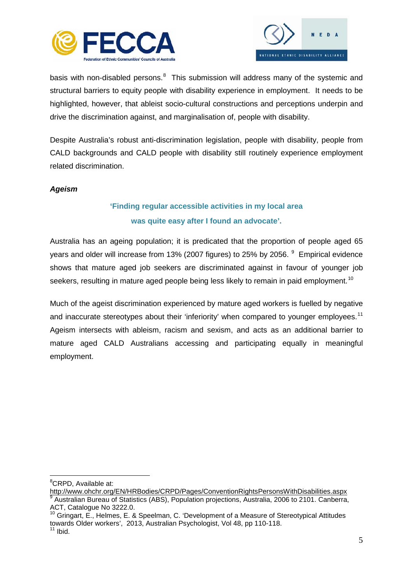



basis with non-disabled persons.<sup>[8](#page-7-1)</sup> This submission will address many of the systemic and structural barriers to equity people with disability experience in employment. It needs to be highlighted, however, that ableist socio-cultural constructions and perceptions underpin and drive the discrimination against, and marginalisation of, people with disability.

Despite Australia's robust anti-discrimination legislation, people with disability, people from CALD backgrounds and CALD people with disability still routinely experience employment related discrimination.

# <span id="page-7-0"></span>*Ageism*

# **'Finding regular accessible activities in my local area was quite easy after I found an advocate'.**

Australia has an ageing population; it is predicated that the proportion of people aged 65 years and older will increase from 13% (2007 figures) to 25% by 2056. <sup>[9](#page-7-2)</sup> Empirical evidence shows that mature aged job seekers are discriminated against in favour of younger job seekers, resulting in mature aged people being less likely to remain in paid employment.<sup>10</sup>

Much of the ageist discrimination experienced by mature aged workers is fuelled by negative and inaccurate stereotypes about their 'inferiority' when compared to younger employees.<sup>[11](#page-7-4)</sup> Ageism intersects with ableism, racism and sexism, and acts as an additional barrier to mature aged CALD Australians accessing and participating equally in meaningful employment.

8 CRPD, Available at:

<span id="page-7-2"></span><span id="page-7-1"></span><http://www.ohchr.org/EN/HRBodies/CRPD/Pages/ConventionRightsPersonsWithDisabilities.aspx> <sup>9</sup> Australian Bureau of Statistics (ABS), Population projections, Australia, 2006 to 2101. Canberra, ACT, Catalogue No 3222.0.

<span id="page-7-4"></span><span id="page-7-3"></span> $10$  Gringart, E., Helmes, E. & Speelman, C. 'Development of a Measure of Stereotypical Attitudes towards Older workers', 2013, Australian Psychologist, Vol 48, pp 110-118.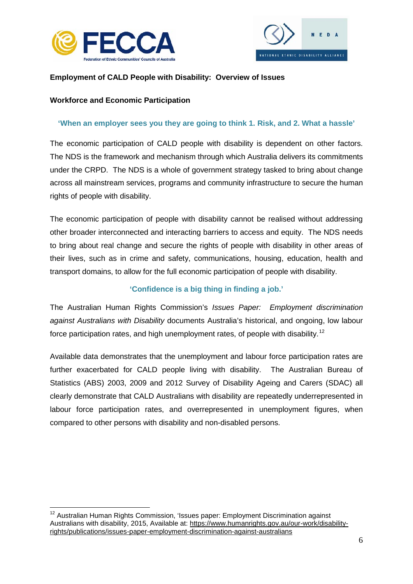



# <span id="page-8-0"></span>**Employment of CALD People with Disability: Overview of Issues**

# <span id="page-8-1"></span>**Workforce and Economic Participation**

# **'When an employer sees you they are going to think 1. Risk, and 2. What a hassle'**

The economic participation of CALD people with disability is dependent on other factors. The NDS is the framework and mechanism through which Australia delivers its commitments under the CRPD. The NDS is a whole of government strategy tasked to bring about change across all mainstream services, programs and community infrastructure to secure the human rights of people with disability.

The economic participation of people with disability cannot be realised without addressing other broader interconnected and interacting barriers to access and equity. The NDS needs to bring about real change and secure the rights of people with disability in other areas of their lives, such as in crime and safety, communications, housing, education, health and transport domains, to allow for the full economic participation of people with disability.

# **'Confidence is a big thing in finding a job.'**

The Australian Human Rights Commission's *Issues Paper: Employment discrimination against Australians with Disability* documents Australia's historical, and ongoing, low labour force participation rates, and high unemployment rates, of people with disability.<sup>[12](#page-8-2)</sup>

Available data demonstrates that the unemployment and labour force participation rates are further exacerbated for CALD people living with disability. The Australian Bureau of Statistics (ABS) 2003, 2009 and 2012 Survey of Disability Ageing and Carers (SDAC) all clearly demonstrate that CALD Australians with disability are repeatedly underrepresented in labour force participation rates, and overrepresented in unemployment figures, when compared to other persons with disability and non-disabled persons.

<span id="page-8-2"></span> $12$  Australian Human Rights Commission, 'Issues paper: Employment Discrimination against Australians with disability, 2015, Available at: [https://www.humanrights.gov.au/our-work/disability](https://www.humanrights.gov.au/our-work/disability-rights/publications/issues-paper-employment-discrimination-against-australians)[rights/publications/issues-paper-employment-discrimination-against-australians](https://www.humanrights.gov.au/our-work/disability-rights/publications/issues-paper-employment-discrimination-against-australians)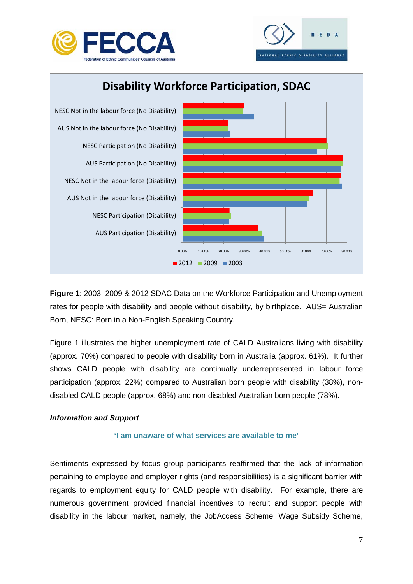





**Figure 1**: 2003, 2009 & 2012 SDAC Data on the Workforce Participation and Unemployment rates for people with disability and people without disability, by birthplace. AUS= Australian Born, NESC: Born in a Non-English Speaking Country.

Figure 1 illustrates the higher unemployment rate of CALD Australians living with disability (approx. 70%) compared to people with disability born in Australia (approx. 61%). It further shows CALD people with disability are continually underrepresented in labour force participation (approx. 22%) compared to Australian born people with disability (38%), nondisabled CALD people (approx. 68%) and non-disabled Australian born people (78%).

# <span id="page-9-0"></span>*Information and Support*

# **'I am unaware of what services are available to me'**

Sentiments expressed by focus group participants reaffirmed that the lack of information pertaining to employee and employer rights (and responsibilities) is a significant barrier with regards to employment equity for CALD people with disability. For example, there are numerous government provided financial incentives to recruit and support people with disability in the labour market, namely, the JobAccess Scheme, Wage Subsidy Scheme,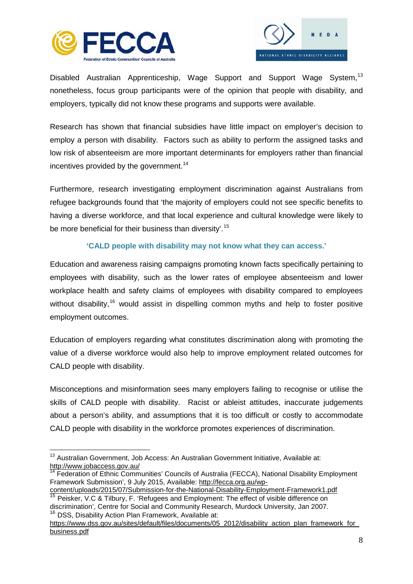



Disabled Australian Apprenticeship, Wage Support and Support Wage System,<sup>[13](#page-10-0)</sup> nonetheless, focus group participants were of the opinion that people with disability, and employers, typically did not know these programs and supports were available.

Research has shown that financial subsidies have little impact on employer's decision to employ a person with disability. Factors such as ability to perform the assigned tasks and low risk of absenteeism are more important determinants for employers rather than financial incentives provided by the government.<sup>[14](#page-10-1)</sup>

Furthermore, research investigating employment discrimination against Australians from refugee backgrounds found that 'the majority of employers could not see specific benefits to having a diverse workforce, and that local experience and cultural knowledge were likely to be more beneficial for their business than diversity'.<sup>[15](#page-10-2)</sup>

# **'CALD people with disability may not know what they can access.'**

Education and awareness raising campaigns promoting known facts specifically pertaining to employees with disability, such as the lower rates of employee absenteeism and lower workplace health and safety claims of employees with disability compared to employees without disability,<sup>[16](#page-10-3)</sup> would assist in dispelling common myths and help to foster positive employment outcomes.

Education of employers regarding what constitutes discrimination along with promoting the value of a diverse workforce would also help to improve employment related outcomes for CALD people with disability.

Misconceptions and misinformation sees many employers failing to recognise or utilise the skills of CALD people with disability. Racist or ableist attitudes, inaccurate judgements about a person's ability, and assumptions that it is too difficult or costly to accommodate CALD people with disability in the workforce promotes experiences of discrimination.

<span id="page-10-0"></span><sup>&</sup>lt;sup>13</sup> Australian Government. Job Access: An Australian Government Initiative, Available at: <http://www.jobaccess.gov.au/>

<span id="page-10-1"></span><sup>14</sup> Federation of Ethnic Communities' Councils of Australia (FECCA), National Disability Employment Framework Submission', 9 July 2015, Available: [http://fecca.org.au/wp-](http://fecca.org.au/wp-content/uploads/2015/07/Submission-for-the-National-Disability-Employment-Framework1.pdf)

<span id="page-10-2"></span>[content/uploads/2015/07/Submission-for-the-National-Disability-Employment-Framework1.pdf](http://fecca.org.au/wp-content/uploads/2015/07/Submission-for-the-National-Disability-Employment-Framework1.pdf)  $\frac{15}{15}$  Peisker, V.C & Tilbury, F. 'Refugees and Employment: The effect of visible difference on

discrimination', Centre for Social and Community Research, Murdock University, Jan 2007.<br><sup>16</sup> DSS, Disability Action Plan Framework, Available at:

<span id="page-10-3"></span>[https://www.dss.gov.au/sites/default/files/documents/05\\_2012/disability\\_action\\_plan\\_framework\\_for\\_](https://www.dss.gov.au/sites/default/files/documents/05_2012/disability_action_plan_framework_for_business.pdf) [business.pdf](https://www.dss.gov.au/sites/default/files/documents/05_2012/disability_action_plan_framework_for_business.pdf)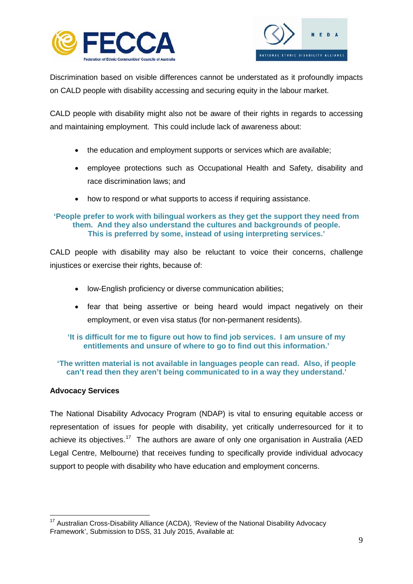



Discrimination based on visible differences cannot be understated as it profoundly impacts on CALD people with disability accessing and securing equity in the labour market.

CALD people with disability might also not be aware of their rights in regards to accessing and maintaining employment. This could include lack of awareness about:

- the education and employment supports or services which are available;
- employee protections such as Occupational Health and Safety, disability and race discrimination laws; and
- how to respond or what supports to access if requiring assistance.

# **'People prefer to work with bilingual workers as they get the support they need from them. And they also understand the cultures and backgrounds of people. This is preferred by some, instead of using interpreting services.'**

CALD people with disability may also be reluctant to voice their concerns, challenge injustices or exercise their rights, because of:

- low-English proficiency or diverse communication abilities;
- fear that being assertive or being heard would impact negatively on their employment, or even visa status (for non-permanent residents).

# **'It is difficult for me to figure out how to find job services. I am unsure of my entitlements and unsure of where to go to find out this information.'**

**'The written material is not available in languages people can read. Also, if people can't read then they aren't being communicated to in a way they understand.'**

# <span id="page-11-0"></span>**Advocacy Services**

The National Disability Advocacy Program (NDAP) is vital to ensuring equitable access or representation of issues for people with disability, yet critically underresourced for it to achieve its objectives.<sup>[17](#page-11-1)</sup> The authors are aware of only one organisation in Australia (AED Legal Centre, Melbourne) that receives funding to specifically provide individual advocacy support to people with disability who have education and employment concerns.

<span id="page-11-1"></span><sup>&</sup>lt;sup>17</sup> Australian Cross-Disability Alliance (ACDA), 'Review of the National Disability Advocacy Framework', Submission to DSS, 31 July 2015, Available at: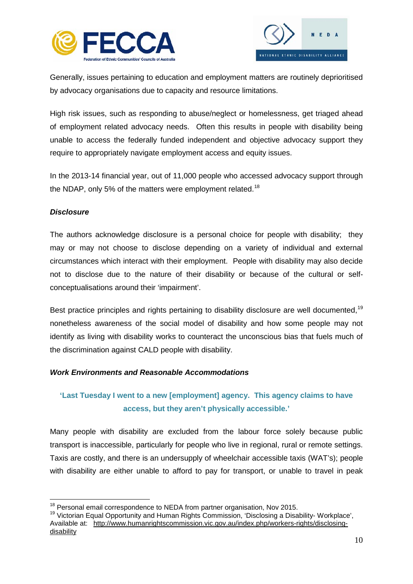



Generally, issues pertaining to education and employment matters are routinely deprioritised by advocacy organisations due to capacity and resource limitations.

High risk issues, such as responding to abuse/neglect or homelessness, get triaged ahead of employment related advocacy needs. Often this results in people with disability being unable to access the federally funded independent and objective advocacy support they require to appropriately navigate employment access and equity issues.

In the 2013-14 financial year, out of 11,000 people who accessed advocacy support through the NDAP, only 5% of the matters were employment related.<sup>[18](#page-12-1)</sup>

# *Disclosure*

The authors acknowledge disclosure is a personal choice for people with disability; they may or may not choose to disclose depending on a variety of individual and external circumstances which interact with their employment. People with disability may also decide not to disclose due to the nature of their disability or because of the cultural or selfconceptualisations around their 'impairment'.

Best practice principles and rights pertaining to disability disclosure are well documented,<sup>[19](#page-12-2)</sup> nonetheless awareness of the social model of disability and how some people may not identify as living with disability works to counteract the unconscious bias that fuels much of the discrimination against CALD people with disability.

# <span id="page-12-0"></span>*Work Environments and Reasonable Accommodations*

# **'Last Tuesday I went to a new [employment] agency. This agency claims to have access, but they aren't physically accessible.'**

Many people with disability are excluded from the labour force solely because public transport is inaccessible, particularly for people who live in regional, rural or remote settings. Taxis are costly, and there is an undersupply of wheelchair accessible taxis (WAT's); people with disability are either unable to afford to pay for transport, or unable to travel in peak

<span id="page-12-2"></span><span id="page-12-1"></span><sup>&</sup>lt;sup>18</sup> Personal email correspondence to NEDA from partner organisation, Nov 2015.<br><sup>19</sup> Victorian Equal Opportunity and Human Rights Commission, 'Disclosing a Disability- Workplace', Available at: [http://www.humanrightscommission.vic.gov.au/index.php/workers-rights/disclosing](http://www.humanrightscommission.vic.gov.au/index.php/workers-rights/disclosing-disability)[disability](http://www.humanrightscommission.vic.gov.au/index.php/workers-rights/disclosing-disability)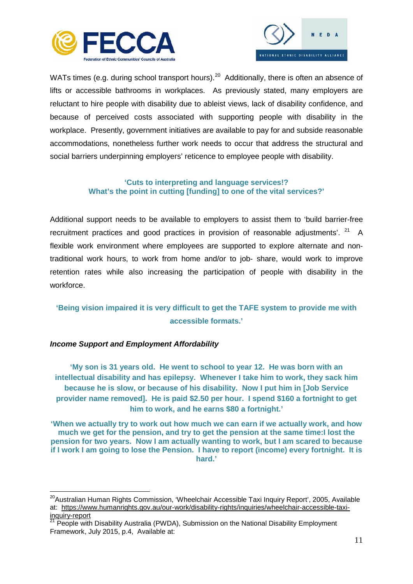



WATs times (e.g. during school transport hours).<sup>20</sup> Additionally, there is often an absence of lifts or accessible bathrooms in workplaces. As previously stated, many employers are reluctant to hire people with disability due to ableist views, lack of disability confidence, and because of perceived costs associated with supporting people with disability in the workplace. Presently, government initiatives are available to pay for and subside reasonable accommodations, nonetheless further work needs to occur that address the structural and social barriers underpinning employers' reticence to employee people with disability.

### **'Cuts to interpreting and language services!? What's the point in cutting [funding] to one of the vital services?'**

Additional support needs to be available to employers to assist them to 'build barrier-free recruitment practices and good practices in provision of reasonable adjustments',  $21$  A flexible work environment where employees are supported to explore alternate and nontraditional work hours, to work from home and/or to job- share, would work to improve retention rates while also increasing the participation of people with disability in the workforce.

# **'Being vision impaired it is very difficult to get the TAFE system to provide me with accessible formats.'**

# *Income Support and Employment Affordability*

**'My son is 31 years old. He went to school to year 12. He was born with an intellectual disability and has epilepsy. Whenever I take him to work, they sack him because he is slow, or because of his disability. Now I put him in [Job Service provider name removed]. He is paid \$2.50 per hour. I spend \$160 a fortnight to get him to work, and he earns \$80 a fortnight.'**

**'When we actually try to work out how much we can earn if we actually work, and how much we get for the pension, and try to get the pension at the same time:I lost the pension for two years. Now I am actually wanting to work, but I am scared to because if I work I am going to lose the Pension. I have to report (income) every fortnight. It is hard.'**

<span id="page-13-0"></span><sup>&</sup>lt;sup>20</sup>Australian Human Rights Commission, 'Wheelchair Accessible Taxi Inquiry Report', 2005, Available at: [https://www.humanrights.gov.au/our-work/disability-rights/inquiries/wheelchair-accessible-taxi-](https://www.humanrights.gov.au/our-work/disability-rights/inquiries/wheelchair-accessible-taxi-inquiry-report)

<span id="page-13-1"></span><sup>&</sup>lt;sup>21</sup> People with Disability Australia (PWDA), Submission on the National Disability Employment Framework, July 2015, p.4, Available at: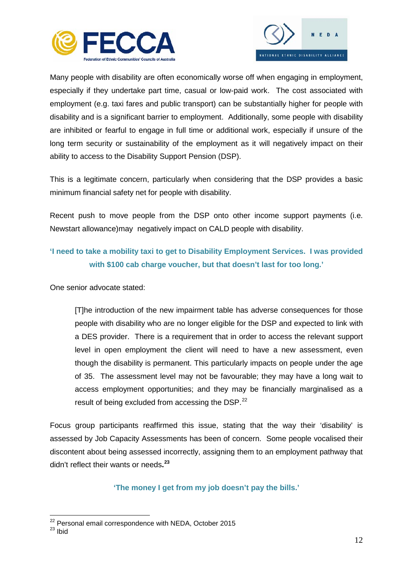



Many people with disability are often economically worse off when engaging in employment, especially if they undertake part time, casual or low-paid work. The cost associated with employment (e.g. taxi fares and public transport) can be substantially higher for people with disability and is a significant barrier to employment. Additionally, some people with disability are inhibited or fearful to engage in full time or additional work, especially if unsure of the long term security or sustainability of the employment as it will negatively impact on their ability to access to the Disability Support Pension (DSP).

This is a legitimate concern, particularly when considering that the DSP provides a basic minimum financial safety net for people with disability.

Recent push to move people from the DSP onto other income support payments (i.e. Newstart allowance)may negatively impact on CALD people with disability.

# **'I need to take a mobility taxi to get to Disability Employment Services. I was provided with \$100 cab charge voucher, but that doesn't last for too long.'**

One senior advocate stated:

[T]he introduction of the new impairment table has adverse consequences for those people with disability who are no longer eligible for the DSP and expected to link with a DES provider. There is a requirement that in order to access the relevant support level in open employment the client will need to have a new assessment, even though the disability is permanent. This particularly impacts on people under the age of 35. The assessment level may not be favourable; they may have a long wait to access employment opportunities; and they may be financially marginalised as a result of being excluded from accessing the DSP.<sup>22</sup>

Focus group participants reaffirmed this issue, stating that the way their 'disability' is assessed by Job Capacity Assessments has been of concern. Some people vocalised their discontent about being assessed incorrectly, assigning them to an employment pathway that didn't reflect their wants or needs**. [23](#page-14-1)** 

**'The money I get from my job doesn't pay the bills.'**

<span id="page-14-0"></span> $^{22}$  Personal email correspondence with NEDA, October 2015<br> $^{23}$  Ibid

<span id="page-14-1"></span>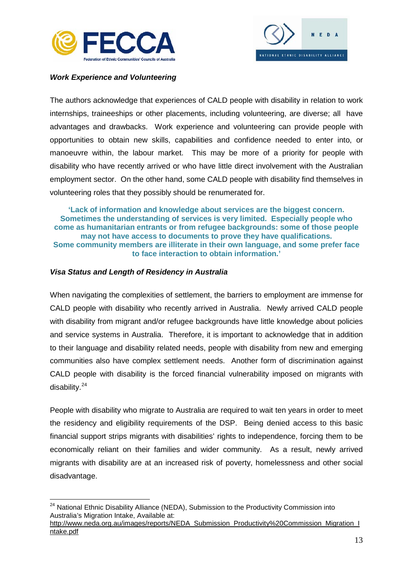



# <span id="page-15-0"></span>*Work Experience and Volunteering*

The authors acknowledge that experiences of CALD people with disability in relation to work internships, traineeships or other placements, including volunteering, are diverse; all have advantages and drawbacks. Work experience and volunteering can provide people with opportunities to obtain new skills, capabilities and confidence needed to enter into, or manoeuvre within, the labour market. This may be more of a priority for people with disability who have recently arrived or who have little direct involvement with the Australian employment sector. On the other hand, some CALD people with disability find themselves in volunteering roles that they possibly should be renumerated for.

#### **'Lack of information and knowledge about services are the biggest concern. Sometimes the understanding of services is very limited. Especially people who come as humanitarian entrants or from refugee backgrounds: some of those people may not have access to documents to prove they have qualifications. Some community members are illiterate in their own language, and some prefer face to face interaction to obtain information.'**

#### <span id="page-15-1"></span>*Visa Status and Length of Residency in Australia*

When navigating the complexities of settlement, the barriers to employment are immense for CALD people with disability who recently arrived in Australia. Newly arrived CALD people with disability from migrant and/or refugee backgrounds have little knowledge about policies and service systems in Australia. Therefore, it is important to acknowledge that in addition to their language and disability related needs, people with disability from new and emerging communities also have complex settlement needs. Another form of discrimination against CALD people with disability is the forced financial vulnerability imposed on migrants with disability.[24](#page-15-2)

People with disability who migrate to Australia are required to wait ten years in order to meet the residency and eligibility requirements of the DSP. Being denied access to this basic financial support strips migrants with disabilities' rights to independence, forcing them to be economically reliant on their families and wider community. As a result, newly arrived migrants with disability are at an increased risk of poverty, homelessness and other social disadvantage.

<span id="page-15-2"></span><sup>&</sup>lt;sup>24</sup> National Ethnic Disability Alliance (NEDA), Submission to the Productivity Commission into Australia's Migration Intake, Available at:

[http://www.neda.org.au/images/reports/NEDA\\_Submission\\_Productivity%20Commission\\_Migration\\_I](http://www.neda.org.au/images/reports/NEDA_Submission_Productivity%20Commission_Migration_Intake.pdf) [ntake.pdf](http://www.neda.org.au/images/reports/NEDA_Submission_Productivity%20Commission_Migration_Intake.pdf)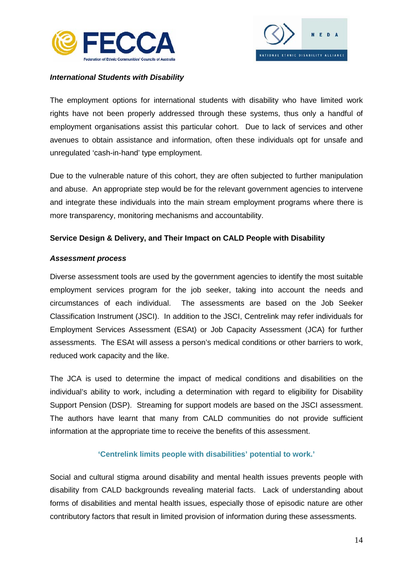



### <span id="page-16-0"></span>*International Students with Disability*

The employment options for international students with disability who have limited work rights have not been properly addressed through these systems, thus only a handful of employment organisations assist this particular cohort. Due to lack of services and other avenues to obtain assistance and information, often these individuals opt for unsafe and unregulated 'cash-in-hand' type employment.

Due to the vulnerable nature of this cohort, they are often subjected to further manipulation and abuse. An appropriate step would be for the relevant government agencies to intervene and integrate these individuals into the main stream employment programs where there is more transparency, monitoring mechanisms and accountability.

#### <span id="page-16-1"></span>**Service Design & Delivery, and Their Impact on CALD People with Disability**

#### <span id="page-16-2"></span>*Assessment process*

Diverse assessment tools are used by the government agencies to identify the most suitable employment services program for the job seeker, taking into account the needs and circumstances of each individual. The assessments are based on the Job Seeker Classification Instrument (JSCI). In addition to the JSCI, Centrelink may refer individuals for Employment Services Assessment (ESAt) or Job Capacity Assessment (JCA) for further assessments. The ESAt will assess a person's medical conditions or other barriers to work, reduced work capacity and the like.

The JCA is used to determine the impact of medical conditions and disabilities on the individual's ability to work, including a determination with regard to eligibility for Disability Support Pension (DSP). Streaming for support models are based on the JSCI assessment. The authors have learnt that many from CALD communities do not provide sufficient information at the appropriate time to receive the benefits of this assessment.

# **'Centrelink limits people with disabilities' potential to work.'**

Social and cultural stigma around disability and mental health issues prevents people with disability from CALD backgrounds revealing material facts. Lack of understanding about forms of disabilities and mental health issues, especially those of episodic nature are other contributory factors that result in limited provision of information during these assessments.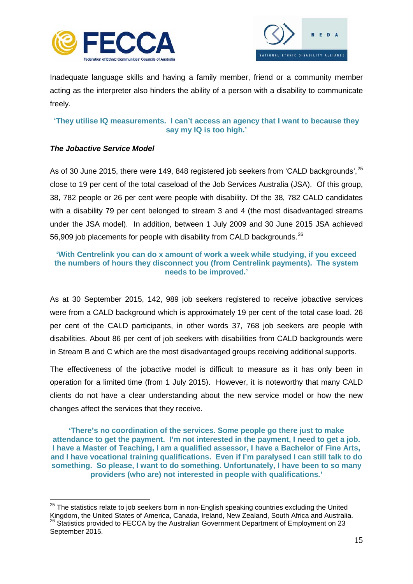



Inadequate language skills and having a family member, friend or a community member acting as the interpreter also hinders the ability of a person with a disability to communicate freely.

# **'They utilise IQ measurements. I can't access an agency that I want to because they say my IQ is too high.'**

# <span id="page-17-0"></span>*The Jobactive Service Model*

As of 30 June 2015, there were 149, 848 registered job seekers from 'CALD backgrounds', <sup>[25](#page-17-1)</sup> close to 19 per cent of the total caseload of the Job Services Australia (JSA). Of this group, 38, 782 people or 26 per cent were people with disability. Of the 38, 782 CALD candidates with a disability 79 per cent belonged to stream 3 and 4 (the most disadvantaged streams under the JSA model). In addition, between 1 July 2009 and 30 June 2015 JSA achieved 56,909 job placements for people with disability from CALD backgrounds.<sup>[26](#page-17-2)</sup>

### **'With Centrelink you can do x amount of work a week while studying, if you exceed the numbers of hours they disconnect you (from Centrelink payments). The system needs to be improved.'**

As at 30 September 2015, 142, 989 job seekers registered to receive jobactive services were from a CALD background which is approximately 19 per cent of the total case load. 26 per cent of the CALD participants, in other words 37, 768 job seekers are people with disabilities. About 86 per cent of job seekers with disabilities from CALD backgrounds were in Stream B and C which are the most disadvantaged groups receiving additional supports.

The effectiveness of the jobactive model is difficult to measure as it has only been in operation for a limited time (from 1 July 2015). However, it is noteworthy that many CALD clients do not have a clear understanding about the new service model or how the new changes affect the services that they receive.

**'There's no coordination of the services. Some people go there just to make attendance to get the payment. I'm not interested in the payment, I need to get a job. I have a Master of Teaching, I am a qualified assessor, I have a Bachelor of Fine Arts, and I have vocational training qualifications. Even if I'm paralysed I can still talk to do something. So please, I want to do something. Unfortunately, I have been to so many providers (who are) not interested in people with qualifications.'**

<span id="page-17-2"></span><span id="page-17-1"></span> $25$  The statistics relate to job seekers born in non-English speaking countries excluding the United Kingdom, the United States of America, Canada, Ireland, New Zealand, South Africa and Australia. <sup>26</sup> Statistics provided to FECCA by the Australian Government Department of Employment on 23 September 2015.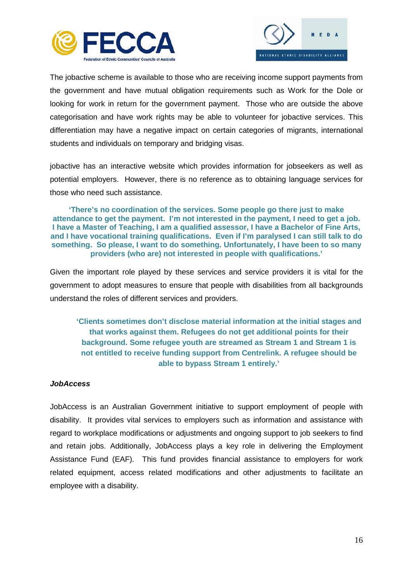



The jobactive scheme is available to those who are receiving income support payments from the government and have mutual obligation requirements such as Work for the Dole or looking for work in return for the government payment. Those who are outside the above categorisation and have work rights may be able to volunteer for jobactive services. This differentiation may have a negative impact on certain categories of migrants, international students and individuals on temporary and bridging visas.

jobactive has an interactive website which provides information for jobseekers as well as potential employers. However, there is no reference as to obtaining language services for those who need such assistance.

**'There's no coordination of the services. Some people go there just to make attendance to get the payment. I'm not interested in the payment, I need to get a job. I have a Master of Teaching, I am a qualified assessor, I have a Bachelor of Fine Arts, and I have vocational training qualifications. Even if I'm paralysed I can still talk to do something. So please, I want to do something. Unfortunately, I have been to so many providers (who are) not interested in people with qualifications.'**

Given the important role played by these services and service providers it is vital for the government to adopt measures to ensure that people with disabilities from all backgrounds understand the roles of different services and providers.

**'Clients sometimes don't disclose material information at the initial stages and that works against them. Refugees do not get additional points for their background. Some refugee youth are streamed as Stream 1 and Stream 1 is not entitled to receive funding support from Centrelink. A refugee should be able to bypass Stream 1 entirely.'**

# <span id="page-18-0"></span>*JobAccess*

JobAccess is an Australian Government initiative to support employment of people with disability. It provides vital services to employers such as information and assistance with regard to workplace modifications or adjustments and ongoing support to job seekers to find and retain jobs. Additionally, JobAccess plays a key role in delivering the Employment Assistance Fund (EAF). This fund provides financial assistance to employers for work related equipment, access related modifications and other adjustments to facilitate an employee with a disability.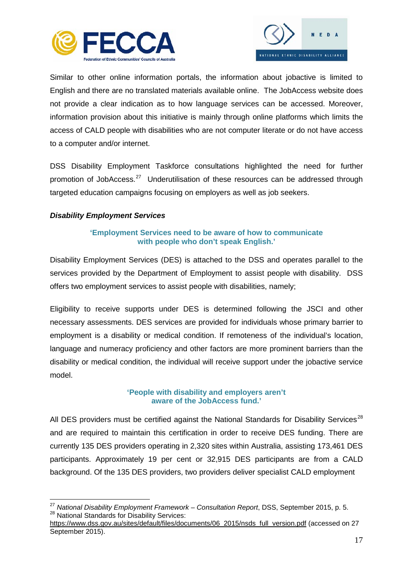



Similar to other online information portals, the information about jobactive is limited to English and there are no translated materials available online. The JobAccess website does not provide a clear indication as to how language services can be accessed. Moreover, information provision about this initiative is mainly through online platforms which limits the access of CALD people with disabilities who are not computer literate or do not have access to a computer and/or internet.

DSS Disability Employment Taskforce consultations highlighted the need for further promotion of JobAccess.[27](#page-19-1) Underutilisation of these resources can be addressed through targeted education campaigns focusing on employers as well as job seekers.

# <span id="page-19-0"></span>*Disability Employment Services*

# **'Employment Services need to be aware of how to communicate with people who don't speak English.'**

Disability Employment Services (DES) is attached to the DSS and operates parallel to the services provided by the Department of Employment to assist people with disability. DSS offers two employment services to assist people with disabilities, namely;

Eligibility to receive supports under DES is determined following the JSCI and other necessary assessments. DES services are provided for individuals whose primary barrier to employment is a disability or medical condition. If remoteness of the individual's location, language and numeracy proficiency and other factors are more prominent barriers than the disability or medical condition, the individual will receive support under the jobactive service model.

# **'People with disability and employers aren't aware of the JobAccess fund.'**

All DES providers must be certified against the National Standards for Disability Services<sup>[28](#page-19-2)</sup> and are required to maintain this certification in order to receive DES funding. There are currently 135 DES providers operating in 2,320 sites within Australia, assisting 173,461 DES participants. Approximately 19 per cent or 32,915 DES participants are from a CALD background. Of the 135 DES providers, two providers deliver specialist CALD employment

<span id="page-19-1"></span><sup>&</sup>lt;sup>27</sup> *National Disability Employment Framework – Consultation Report*, DSS, September 2015, p. 5.<br><sup>28</sup> National Standards for Disability Services:

<span id="page-19-2"></span>[https://www.dss.gov.au/sites/default/files/documents/06\\_2015/nsds\\_full\\_version.pdf](https://www.dss.gov.au/sites/default/files/documents/06_2015/nsds_full_version.pdf) (accessed on 27 September 2015).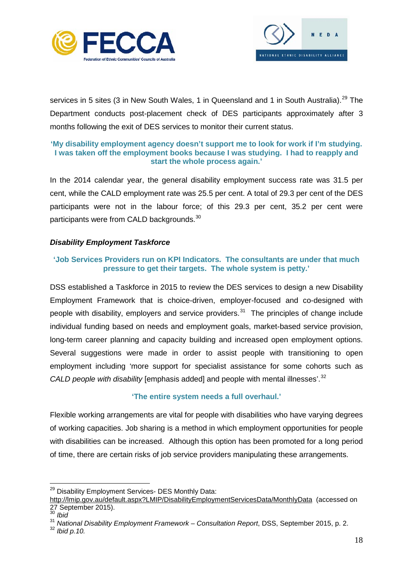



services in 5 sites (3 in New South Wales, 1 in Queensland and 1 in South Australia).<sup>[29](#page-20-1)</sup> The Department conducts post-placement check of DES participants approximately after 3 months following the exit of DES services to monitor their current status.

# **'My disability employment agency doesn't support me to look for work if I'm studying. I was taken off the employment books because I was studying. I had to reapply and start the whole process again.'**

In the 2014 calendar year, the general disability employment success rate was 31.5 per cent, while the CALD employment rate was 25.5 per cent. A total of 29.3 per cent of the DES participants were not in the labour force; of this 29.3 per cent, 35.2 per cent were participants were from CALD backgrounds.<sup>[30](#page-20-2)</sup>

# <span id="page-20-0"></span>*Disability Employment Taskforce*

# **'Job Services Providers run on KPI Indicators. The consultants are under that much pressure to get their targets. The whole system is petty.'**

DSS established a Taskforce in 2015 to review the DES services to design a new Disability Employment Framework that is choice-driven, employer-focused and co-designed with people with disability, employers and service providers.<sup>[31](#page-20-3)</sup> The principles of change include individual funding based on needs and employment goals, market-based service provision, long-term career planning and capacity building and increased open employment options. Several suggestions were made in order to assist people with transitioning to open employment including 'more support for specialist assistance for some cohorts such as *CALD people with disability* [emphasis added] and people with mental illnesses'.<sup>[32](#page-20-4)</sup>

# **'The entire system needs a full overhaul.'**

Flexible working arrangements are vital for people with disabilities who have varying degrees of working capacities. Job sharing is a method in which employment opportunities for people with disabilities can be increased. Although this option has been promoted for a long period of time, there are certain risks of job service providers manipulating these arrangements.

<span id="page-20-1"></span><sup>&</sup>lt;sup>29</sup> Disability Employment Services- DES Monthly Data:

<http://lmip.gov.au/default.aspx?LMIP/DisabilityEmploymentServicesData/MonthlyData>(accessed on 27 September 2015).

<span id="page-20-2"></span><sup>30</sup> *Ibid* 

<span id="page-20-4"></span><span id="page-20-3"></span><sup>31</sup> *National Disability Employment Framework – Consultation Report*, DSS, September 2015, p. 2. 32 *Ibid p.10.*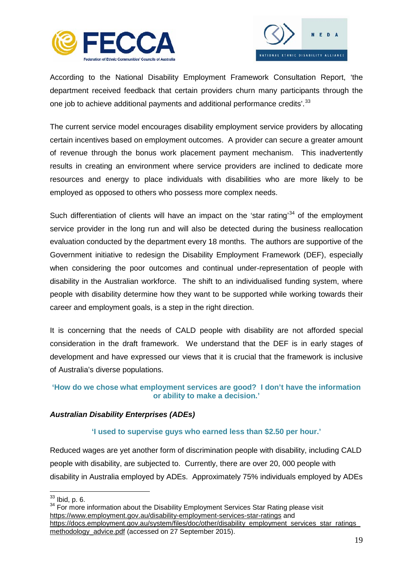



According to the National Disability Employment Framework Consultation Report, 'the department received feedback that certain providers churn many participants through the one job to achieve additional payments and additional performance credits'.<sup>[33](#page-21-1)</sup>

The current service model encourages disability employment service providers by allocating certain incentives based on employment outcomes. A provider can secure a greater amount of revenue through the bonus work placement payment mechanism. This inadvertently results in creating an environment where service providers are inclined to dedicate more resources and energy to place individuals with disabilities who are more likely to be employed as opposed to others who possess more complex needs.

Such differentiation of clients will have an impact on the 'star rating'<sup>[34](#page-21-2)</sup> of the employment service provider in the long run and will also be detected during the business reallocation evaluation conducted by the department every 18 months. The authors are supportive of the Government initiative to redesign the Disability Employment Framework (DEF), especially when considering the poor outcomes and continual under-representation of people with disability in the Australian workforce. The shift to an individualised funding system, where people with disability determine how they want to be supported while working towards their career and employment goals, is a step in the right direction.

It is concerning that the needs of CALD people with disability are not afforded special consideration in the draft framework. We understand that the DEF is in early stages of development and have expressed our views that it is crucial that the framework is inclusive of Australia's diverse populations.

# **'How do we chose what employment services are good? I don't have the information or ability to make a decision.'**

# <span id="page-21-0"></span>*Australian Disability Enterprises (ADEs)*

# **'I used to supervise guys who earned less than \$2.50 per hour.'**

Reduced wages are yet another form of discrimination people with disability, including CALD people with disability, are subjected to. Currently, there are over 20, 000 people with disability in Australia employed by ADEs. Approximately 75% individuals employed by ADEs

<span id="page-21-2"></span><span id="page-21-1"></span> $33$  Ibid, p. 6.<br> $34$  For more information about the Disability Employment Services Star Rating please visit <https://www.employment.gov.au/disability-employment-services-star-ratings> and https://docs.employment.gov.au/system/files/doc/other/disability\_employment\_services\_star\_ratings [methodology\\_advice.pdf](https://docs.employment.gov.au/system/files/doc/other/disability_employment_services_star_ratings_methodology_advice.pdf) (accessed on 27 September 2015).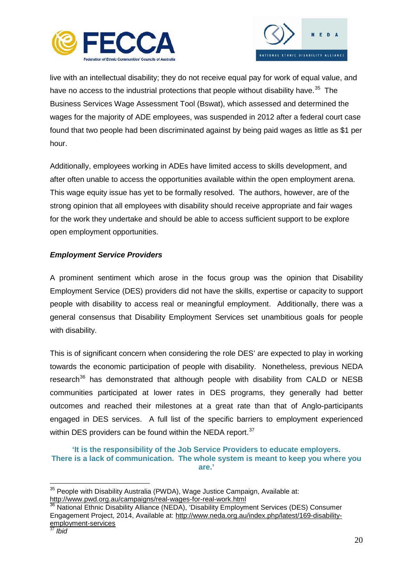



live with an intellectual disability; they do not receive equal pay for work of equal value, and have no access to the industrial protections that people without disability have.<sup>35</sup> The Business Services Wage Assessment Tool (Bswat), which assessed and determined the wages for the majority of ADE employees, was suspended in 2012 after a federal court case found that two people had been discriminated against by being paid wages as little as \$1 per hour.

Additionally, employees working in ADEs have limited access to skills development, and after often unable to access the opportunities available within the open employment arena. This wage equity issue has yet to be formally resolved. The authors, however, are of the strong opinion that all employees with disability should receive appropriate and fair wages for the work they undertake and should be able to access sufficient support to be explore open employment opportunities.

# <span id="page-22-0"></span>*Employment Service Providers*

A prominent sentiment which arose in the focus group was the opinion that Disability Employment Service (DES) providers did not have the skills, expertise or capacity to support people with disability to access real or meaningful employment. Additionally, there was a general consensus that Disability Employment Services set unambitious goals for people with disability.

This is of significant concern when considering the role DES' are expected to play in working towards the economic participation of people with disability. Nonetheless, previous NEDA research<sup>[36](#page-22-2)</sup> has demonstrated that although people with disability from CALD or NESB communities participated at lower rates in DES programs, they generally had better outcomes and reached their milestones at a great rate than that of Anglo-participants engaged in DES services. A full list of the specific barriers to employment experienced within DES providers can be found within the NEDA report.<sup>[37](#page-22-3)</sup>

**'It is the responsibility of the Job Service Providers to educate employers. There is a lack of communication. The whole system is meant to keep you where you are.'**

<span id="page-22-1"></span><sup>&</sup>lt;sup>35</sup> People with Disability Australia (PWDA), Wage Justice Campaign, Available at: <http://www.pwd.org.au/campaigns/real-wages-for-real-work.html>

<span id="page-22-3"></span><span id="page-22-2"></span>National Ethnic Disability Alliance (NEDA), 'Disability Employment Services (DES) Consumer Engagement Project, 2014, Available at: [http://www.neda.org.au/index.php/latest/169-disability](http://www.neda.org.au/index.php/latest/169-disability-employment-services)[employment-services](http://www.neda.org.au/index.php/latest/169-disability-employment-services) <sup>37</sup> *Ibid*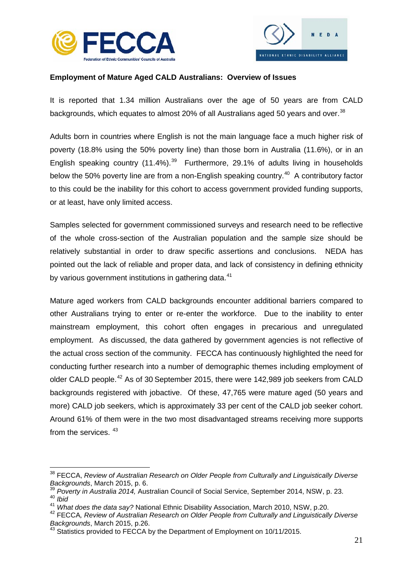



# <span id="page-23-0"></span>**Employment of Mature Aged CALD Australians: Overview of Issues**

It is reported that 1.34 million Australians over the age of 50 years are from CALD backgrounds, which equates to almost 20% of all Australians aged 50 years and over.<sup>[38](#page-23-1)</sup>

Adults born in countries where English is not the main language face a much higher risk of poverty (18.8% using the 50% poverty line) than those born in Australia (11.6%), or in an English speaking country  $(11.4\%)$ .<sup>[39](#page-23-2)</sup> Furthermore, 29.1% of adults living in households below the 50% poverty line are from a non-English speaking country.<sup>[40](#page-23-3)</sup> A contributory factor to this could be the inability for this cohort to access government provided funding supports, or at least, have only limited access.

Samples selected for government commissioned surveys and research need to be reflective of the whole cross-section of the Australian population and the sample size should be relatively substantial in order to draw specific assertions and conclusions. NEDA has pointed out the lack of reliable and proper data, and lack of consistency in defining ethnicity by various government institutions in gathering data.<sup>[41](#page-23-4)</sup>

Mature aged workers from CALD backgrounds encounter additional barriers compared to other Australians trying to enter or re-enter the workforce. Due to the inability to enter mainstream employment, this cohort often engages in precarious and unregulated employment. As discussed, the data gathered by government agencies is not reflective of the actual cross section of the community. FECCA has continuously highlighted the need for conducting further research into a number of demographic themes including employment of older CALD people.[42](#page-23-5) As of 30 September 2015, there were 142,989 job seekers from CALD backgrounds registered with jobactive. Of these, 47,765 were mature aged (50 years and more) CALD job seekers, which is approximately 33 per cent of the CALD job seeker cohort. Around 61% of them were in the two most disadvantaged streams receiving more supports from the services.  $43$ 

<span id="page-23-1"></span><sup>&</sup>lt;sup>38</sup> FECCA, *Review of Australian Research on Older People from Culturally and Linguistically Diverse Backgrounds.* March 2015. p. 6.

<span id="page-23-3"></span><span id="page-23-2"></span><sup>&</sup>lt;sup>39</sup> *Poverty in Australia 2014, Australian Council of Social Service, September 2014, NSW, p. 23.* 40 *Ibid*<br>41 *What does the data say?* National Ethnic Disability Association, March 2010, NSW, p.20.

<span id="page-23-5"></span><span id="page-23-4"></span><sup>&</sup>lt;sup>42</sup> FECCA, Review of Australian Research on Older People from Culturally and Linguistically Diverse *Backgrounds*, March 2015, p.26.<br><sup>43</sup> Statistics provided to FECCA by the Department of Employment on 10/11/2015.

<span id="page-23-6"></span>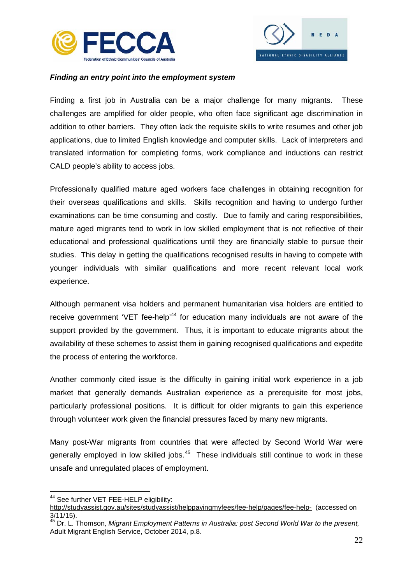



### <span id="page-24-0"></span>*Finding an entry point into the employment system*

Finding a first job in Australia can be a major challenge for many migrants. These challenges are amplified for older people, who often face significant age discrimination in addition to other barriers. They often lack the requisite skills to write resumes and other job applications, due to limited English knowledge and computer skills. Lack of interpreters and translated information for completing forms, work compliance and inductions can restrict CALD people's ability to access jobs.

Professionally qualified mature aged workers face challenges in obtaining recognition for their overseas qualifications and skills. Skills recognition and having to undergo further examinations can be time consuming and costly. Due to family and caring responsibilities, mature aged migrants tend to work in low skilled employment that is not reflective of their educational and professional qualifications until they are financially stable to pursue their studies. This delay in getting the qualifications recognised results in having to compete with younger individuals with similar qualifications and more recent relevant local work experience.

Although permanent visa holders and permanent humanitarian visa holders are entitled to receive government 'VET fee-help'<sup>[44](#page-24-1)</sup> for education many individuals are not aware of the support provided by the government. Thus, it is important to educate migrants about the availability of these schemes to assist them in gaining recognised qualifications and expedite the process of entering the workforce.

Another commonly cited issue is the difficulty in gaining initial work experience in a job market that generally demands Australian experience as a prerequisite for most jobs, particularly professional positions. It is difficult for older migrants to gain this experience through volunteer work given the financial pressures faced by many new migrants.

Many post-War migrants from countries that were affected by Second World War were generally employed in low skilled jobs.<sup>[45](#page-24-2)</sup> These individuals still continue to work in these unsafe and unregulated places of employment.

<span id="page-24-1"></span><sup>44</sup> See further VET FEE-HELP eligibility:

<http://studyassist.gov.au/sites/studyassist/helppayingmyfees/fee-help/pages/fee-help->(accessed on 3/11/15).

<span id="page-24-2"></span><sup>45</sup> Dr. L. Thomson, *Migrant Employment Patterns in Australia: post Second World War to the present,*  Adult Migrant English Service, October 2014, p.8.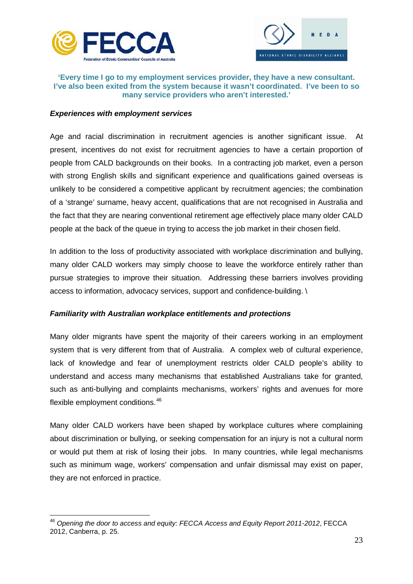



### **'Every time I go to my employment services provider, they have a new consultant. I've also been exited from the system because it wasn't coordinated. I've been to so many service providers who aren't interested.'**

#### <span id="page-25-0"></span>*Experiences with employment services*

Age and racial discrimination in recruitment agencies is another significant issue. At present, incentives do not exist for recruitment agencies to have a certain proportion of people from CALD backgrounds on their books. In a contracting job market, even a person with strong English skills and significant experience and qualifications gained overseas is unlikely to be considered a competitive applicant by recruitment agencies; the combination of a 'strange' surname, heavy accent, qualifications that are not recognised in Australia and the fact that they are nearing conventional retirement age effectively place many older CALD people at the back of the queue in trying to access the job market in their chosen field.

In addition to the loss of productivity associated with workplace discrimination and bullying, many older CALD workers may simply choose to leave the workforce entirely rather than pursue strategies to improve their situation. Addressing these barriers involves providing access to information, advocacy services, support and confidence-building. \

# *Familiarity with Australian workplace entitlements and protections*

Many older migrants have spent the majority of their careers working in an employment system that is very different from that of Australia. A complex web of cultural experience, lack of knowledge and fear of unemployment restricts older CALD people's ability to understand and access many mechanisms that established Australians take for granted, such as anti-bullying and complaints mechanisms, workers' rights and avenues for more flexible employment conditions.<sup>[46](#page-25-1)</sup>

Many older CALD workers have been shaped by workplace cultures where complaining about discrimination or bullying, or seeking compensation for an injury is not a cultural norm or would put them at risk of losing their jobs. In many countries, while legal mechanisms such as minimum wage, workers' compensation and unfair dismissal may exist on paper, they are not enforced in practice.

<span id="page-25-1"></span><sup>46</sup> *Opening the door to access and equity: FECCA Access and Equity Report 2011-2012*, FECCA 2012, Canberra, p. 25.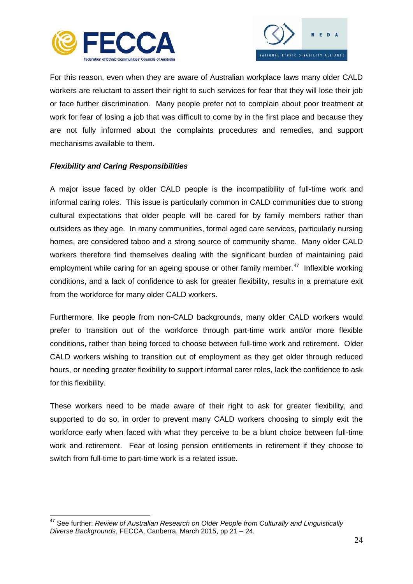



For this reason, even when they are aware of Australian workplace laws many older CALD workers are reluctant to assert their right to such services for fear that they will lose their job or face further discrimination. Many people prefer not to complain about poor treatment at work for fear of losing a job that was difficult to come by in the first place and because they are not fully informed about the complaints procedures and remedies, and support mechanisms available to them.

# <span id="page-26-0"></span>*Flexibility and Caring Responsibilities*

A major issue faced by older CALD people is the incompatibility of full-time work and informal caring roles. This issue is particularly common in CALD communities due to strong cultural expectations that older people will be cared for by family members rather than outsiders as they age. In many communities, formal aged care services, particularly nursing homes, are considered taboo and a strong source of community shame. Many older CALD workers therefore find themselves dealing with the significant burden of maintaining paid employment while caring for an ageing spouse or other family member.<sup>[47](#page-26-1)</sup> Inflexible working conditions, and a lack of confidence to ask for greater flexibility, results in a premature exit from the workforce for many older CALD workers.

Furthermore, like people from non-CALD backgrounds, many older CALD workers would prefer to transition out of the workforce through part-time work and/or more flexible conditions, rather than being forced to choose between full-time work and retirement. Older CALD workers wishing to transition out of employment as they get older through reduced hours, or needing greater flexibility to support informal carer roles, lack the confidence to ask for this flexibility.

These workers need to be made aware of their right to ask for greater flexibility, and supported to do so, in order to prevent many CALD workers choosing to simply exit the workforce early when faced with what they perceive to be a blunt choice between full-time work and retirement. Fear of losing pension entitlements in retirement if they choose to switch from full-time to part-time work is a related issue.

<span id="page-26-1"></span><sup>47</sup> See further: *Review of Australian Research on Older People from Culturally and Linguistically Diverse Backgrounds*, FECCA, Canberra, March 2015, pp 21 – 24.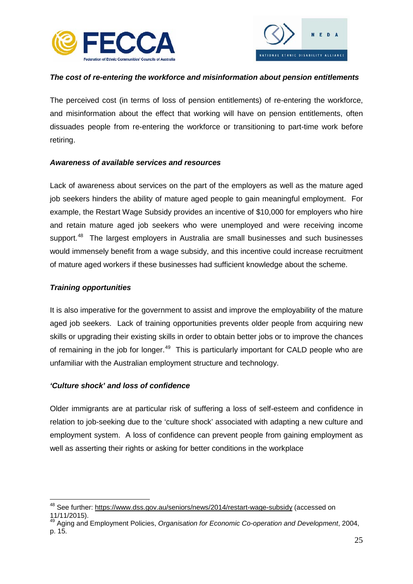



# <span id="page-27-0"></span>*The cost of re-entering the workforce and misinformation about pension entitlements*

The perceived cost (in terms of loss of pension entitlements) of re-entering the workforce, and misinformation about the effect that working will have on pension entitlements, often dissuades people from re-entering the workforce or transitioning to part-time work before retiring.

# <span id="page-27-1"></span>*Awareness of available services and resources*

Lack of awareness about services on the part of the employers as well as the mature aged job seekers hinders the ability of mature aged people to gain meaningful employment. For example, the Restart Wage Subsidy provides an incentive of \$10,000 for employers who hire and retain mature aged job seekers who were unemployed and were receiving income support.<sup>[48](#page-27-4)</sup> The largest employers in Australia are small businesses and such businesses would immensely benefit from a wage subsidy, and this incentive could increase recruitment of mature aged workers if these businesses had sufficient knowledge about the scheme.

#### <span id="page-27-2"></span>*Training opportunities*

It is also imperative for the government to assist and improve the employability of the mature aged job seekers. Lack of training opportunities prevents older people from acquiring new skills or upgrading their existing skills in order to obtain better jobs or to improve the chances of remaining in the job for longer. $49$  This is particularly important for CALD people who are unfamiliar with the Australian employment structure and technology.

# <span id="page-27-3"></span>*'Culture shock' and loss of confidence*

Older immigrants are at particular risk of suffering a loss of self-esteem and confidence in relation to job-seeking due to the 'culture shock' associated with adapting a new culture and employment system. A loss of confidence can prevent people from gaining employment as well as asserting their rights or asking for better conditions in the workplace

<span id="page-27-4"></span><sup>&</sup>lt;sup>48</sup> See further:<https://www.dss.gov.au/seniors/news/2014/restart-wage-subsidy> (accessed on 11/11/2015).

<span id="page-27-5"></span><sup>&</sup>lt;sup>3</sup> Aging and Employment Policies, *Organisation for Economic Co-operation and Development*, 2004, p. 15.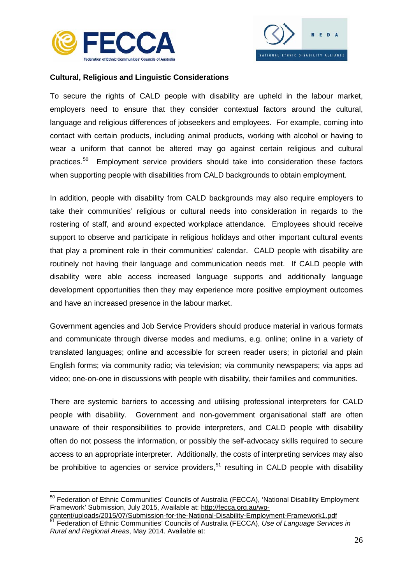



# <span id="page-28-0"></span>**Cultural, Religious and Linguistic Considerations**

To secure the rights of CALD people with disability are upheld in the labour market, employers need to ensure that they consider contextual factors around the cultural, language and religious differences of jobseekers and employees. For example, coming into contact with certain products, including animal products, working with alcohol or having to wear a uniform that cannot be altered may go against certain religious and cultural practices.[50](#page-28-1) Employment service providers should take into consideration these factors when supporting people with disabilities from CALD backgrounds to obtain employment.

In addition, people with disability from CALD backgrounds may also require employers to take their communities' religious or cultural needs into consideration in regards to the rostering of staff, and around expected workplace attendance. Employees should receive support to observe and participate in religious holidays and other important cultural events that play a prominent role in their communities' calendar. CALD people with disability are routinely not having their language and communication needs met. If CALD people with disability were able access increased language supports and additionally language development opportunities then they may experience more positive employment outcomes and have an increased presence in the labour market.

Government agencies and Job Service Providers should produce material in various formats and communicate through diverse modes and mediums, e.g. online; online in a variety of translated languages; online and accessible for screen reader users; in pictorial and plain English forms; via community radio; via television; via community newspapers; via apps ad video; one-on-one in discussions with people with disability, their families and communities.

There are systemic barriers to accessing and utilising professional interpreters for CALD people with disability. Government and non-government organisational staff are often unaware of their responsibilities to provide interpreters, and CALD people with disability often do not possess the information, or possibly the self-advocacy skills required to secure access to an appropriate interpreter. Additionally, the costs of interpreting services may also be prohibitive to agencies or service providers,<sup>[51](#page-28-2)</sup> resulting in CALD people with disability

<span id="page-28-1"></span><sup>&</sup>lt;sup>50</sup> Federation of Ethnic Communities' Councils of Australia (FECCA), 'National Disability Employment Framework' Submission, July 2015, Available at: [http://fecca.org.au/wp-](http://fecca.org.au/wp-content/uploads/2015/07/Submission-for-the-National-Disability-Employment-Framework1.pdf)

<span id="page-28-2"></span>[content/uploads/2015/07/Submission-for-the-National-Disability-Employment-Framework1.pdf](http://fecca.org.au/wp-content/uploads/2015/07/Submission-for-the-National-Disability-Employment-Framework1.pdf) <sup>51</sup> Federation of Ethnic Communities' Councils of Australia (FECCA), *Use of Language Services in Rural and Regional Areas*, May 2014. Available at: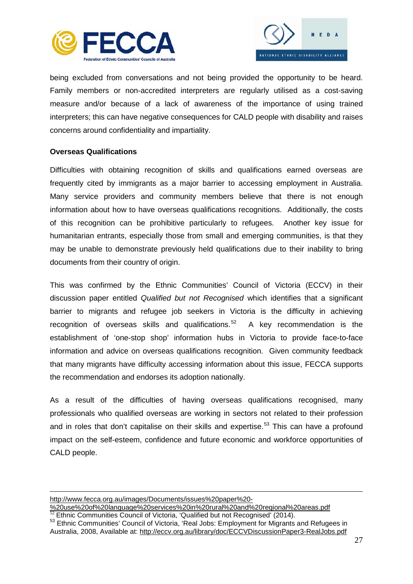



being excluded from conversations and not being provided the opportunity to be heard. Family members or non-accredited interpreters are regularly utilised as a cost-saving measure and/or because of a lack of awareness of the importance of using trained interpreters; this can have negative consequences for CALD people with disability and raises concerns around confidentiality and impartiality.

# <span id="page-29-0"></span>**Overseas Qualifications**

Difficulties with obtaining recognition of skills and qualifications earned overseas are frequently cited by immigrants as a major barrier to accessing employment in Australia. Many service providers and community members believe that there is not enough information about how to have overseas qualifications recognitions. Additionally, the costs of this recognition can be prohibitive particularly to refugees. Another key issue for humanitarian entrants, especially those from small and emerging communities, is that they may be unable to demonstrate previously held qualifications due to their inability to bring documents from their country of origin.

This was confirmed by the Ethnic Communities' Council of Victoria (ECCV) in their discussion paper entitled *Qualified but not Recognised* which identifies that a significant barrier to migrants and refugee job seekers in Victoria is the difficulty in achieving recognition of overseas skills and qualifications.<sup>52</sup> A key recommendation is the establishment of 'one-stop shop' information hubs in Victoria to provide face-to-face information and advice on overseas qualifications recognition. Given community feedback that many migrants have difficulty accessing information about this issue, FECCA supports the recommendation and endorses its adoption nationally.

As a result of the difficulties of having overseas qualifications recognised, many professionals who qualified overseas are working in sectors not related to their profession and in roles that don't capitalise on their skills and expertise.<sup>[53](#page-29-2)</sup> This can have a profound impact on the self-esteem, confidence and future economic and workforce opportunities of CALD people.

[http://www.fecca.org.au/images/Documents/issues%20paper%20-](http://www.fecca.org.au/images/Documents/issues%20paper%20-%20use%20of%20language%20services%20in%20rural%20and%20regional%20areas.pdf)

<u>.</u>

[<sup>%20</sup>use%20of%20language%20services%20in%20rural%20and%20regional%20areas.pdf](http://www.fecca.org.au/images/Documents/issues%20paper%20-%20use%20of%20language%20services%20in%20rural%20and%20regional%20areas.pdf)<br><sup>52</sup> Ethnic Communities Council of Victoria, 'Qualified but not Recognised' (2014).

<span id="page-29-2"></span><span id="page-29-1"></span><sup>53</sup> Ethnic Communities' Council of Victoria, 'Real Jobs: Employment for Migrants and Refugees in Australia, 2008, Available at:<http://eccv.org.au/library/doc/ECCVDiscussionPaper3-RealJobs.pdf>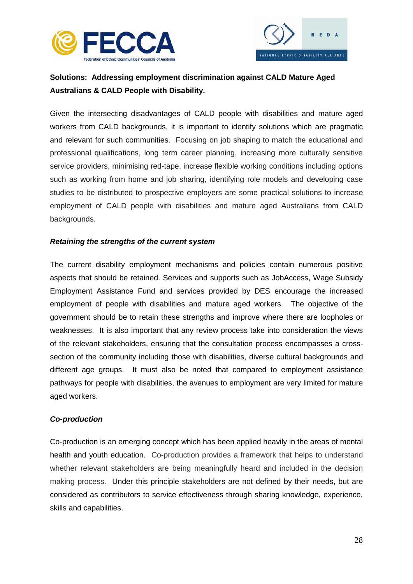



# <span id="page-30-0"></span>**Solutions: Addressing employment discrimination against CALD Mature Aged Australians & CALD People with Disability.**

Given the intersecting disadvantages of CALD people with disabilities and mature aged workers from CALD backgrounds, it is important to identify solutions which are pragmatic and relevant for such communities. Focusing on job shaping to match the educational and professional qualifications, long term career planning, increasing more culturally sensitive service providers, minimising red-tape, increase flexible working conditions including options such as working from home and job sharing, identifying role models and developing case studies to be distributed to prospective employers are some practical solutions to increase employment of CALD people with disabilities and mature aged Australians from CALD backgrounds.

# <span id="page-30-1"></span>*Retaining the strengths of the current system*

The current disability employment mechanisms and policies contain numerous positive aspects that should be retained. Services and supports such as JobAccess, Wage Subsidy Employment Assistance Fund and services provided by DES encourage the increased employment of people with disabilities and mature aged workers. The objective of the government should be to retain these strengths and improve where there are loopholes or weaknesses. It is also important that any review process take into consideration the views of the relevant stakeholders, ensuring that the consultation process encompasses a crosssection of the community including those with disabilities, diverse cultural backgrounds and different age groups. It must also be noted that compared to employment assistance pathways for people with disabilities, the avenues to employment are very limited for mature aged workers.

# <span id="page-30-2"></span>*Co-production*

Co-production is an emerging concept which has been applied heavily in the areas of mental health and youth education. Co-production provides a framework that helps to understand whether relevant stakeholders are being meaningfully heard and included in the decision making process. Under this principle stakeholders are not defined by their needs, but are considered as contributors to service effectiveness through sharing knowledge, experience, skills and capabilities.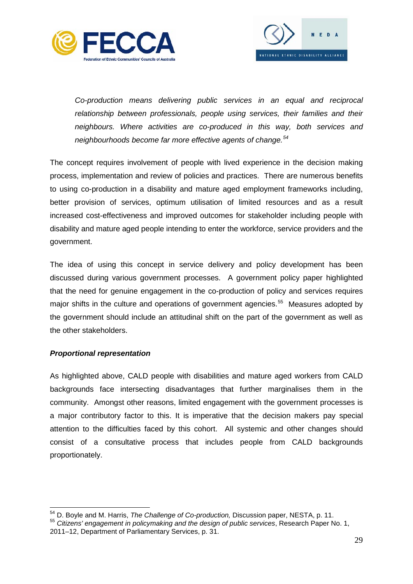



*Co-production means delivering public services in an equal and reciprocal relationship between professionals, people using services, their families and their neighbours. Where activities are co-produced in this way, both services and neighbourhoods become far more effective agents of change.[54](#page-31-1)*

The concept requires involvement of people with lived experience in the decision making process, implementation and review of policies and practices. There are numerous benefits to using co-production in a disability and mature aged employment frameworks including, better provision of services, optimum utilisation of limited resources and as a result increased cost-effectiveness and improved outcomes for stakeholder including people with disability and mature aged people intending to enter the workforce, service providers and the government.

The idea of using this concept in service delivery and policy development has been discussed during various government processes. A government policy paper highlighted that the need for genuine engagement in the co-production of policy and services requires major shifts in the culture and operations of government agencies.<sup>[55](#page-31-2)</sup> Measures adopted by the government should include an attitudinal shift on the part of the government as well as the other stakeholders.

# <span id="page-31-0"></span>*Proportional representation*

As highlighted above, CALD people with disabilities and mature aged workers from CALD backgrounds face intersecting disadvantages that further marginalises them in the community. Amongst other reasons, limited engagement with the government processes is a major contributory factor to this. It is imperative that the decision makers pay special attention to the difficulties faced by this cohort. All systemic and other changes should consist of a consultative process that includes people from CALD backgrounds proportionately.

<span id="page-31-1"></span><sup>&</sup>lt;sup>54</sup> D. Boyle and M. Harris, *The Challenge of Co-production, Discussion paper, NESTA, p. 11.*<br><sup>55</sup> *Citizens' engagement in policymaking and the design of public services, Research Paper No. 1,* 

<span id="page-31-2"></span><sup>2011–12,</sup> Department of Parliamentary Services, p. 31.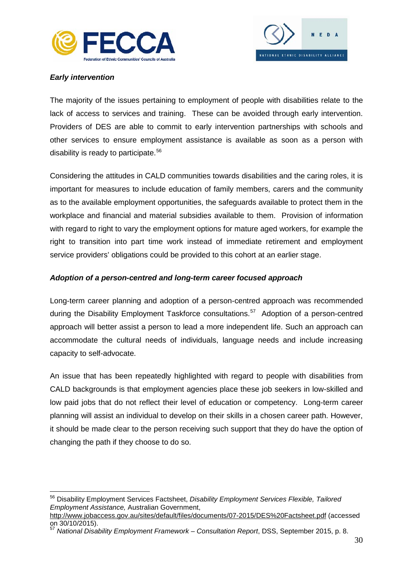



# <span id="page-32-0"></span>*Early intervention*

The majority of the issues pertaining to employment of people with disabilities relate to the lack of access to services and training. These can be avoided through early intervention. Providers of DES are able to commit to early intervention partnerships with schools and other services to ensure employment assistance is available as soon as a person with disability is ready to participate.<sup>[56](#page-32-2)</sup>

Considering the attitudes in CALD communities towards disabilities and the caring roles, it is important for measures to include education of family members, carers and the community as to the available employment opportunities, the safeguards available to protect them in the workplace and financial and material subsidies available to them. Provision of information with regard to right to vary the employment options for mature aged workers, for example the right to transition into part time work instead of immediate retirement and employment service providers' obligations could be provided to this cohort at an earlier stage.

# <span id="page-32-1"></span>*Adoption of a person-centred and long-term career focused approach*

Long-term career planning and adoption of a person-centred approach was recommended during the Disability Employment Taskforce consultations.<sup>[57](#page-32-3)</sup> Adoption of a person-centred approach will better assist a person to lead a more independent life. Such an approach can accommodate the cultural needs of individuals, language needs and include increasing capacity to self-advocate.

An issue that has been repeatedly highlighted with regard to people with disabilities from CALD backgrounds is that employment agencies place these job seekers in low-skilled and low paid jobs that do not reflect their level of education or competency. Long-term career planning will assist an individual to develop on their skills in a chosen career path. However, it should be made clear to the person receiving such support that they do have the option of changing the path if they choose to do so.

<span id="page-32-2"></span><sup>56</sup> Disability Employment Services Factsheet, *Disability Employment Services Flexible, Tailored Employment Assistance,* Australian Government,

<http://www.jobaccess.gov.au/sites/default/files/documents/07-2015/DES%20Factsheet.pdf> (accessed on 30/10/2015).

<span id="page-32-3"></span><sup>57</sup> *National Disability Employment Framework – Consultation Report*, DSS, September 2015, p. 8.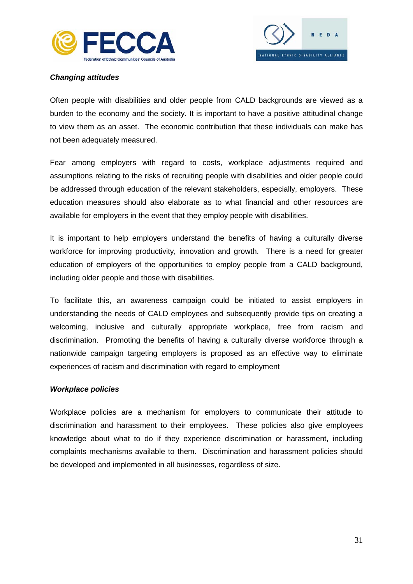



# <span id="page-33-0"></span>*Changing attitudes*

Often people with disabilities and older people from CALD backgrounds are viewed as a burden to the economy and the society. It is important to have a positive attitudinal change to view them as an asset. The economic contribution that these individuals can make has not been adequately measured.

Fear among employers with regard to costs, workplace adjustments required and assumptions relating to the risks of recruiting people with disabilities and older people could be addressed through education of the relevant stakeholders, especially, employers. These education measures should also elaborate as to what financial and other resources are available for employers in the event that they employ people with disabilities.

It is important to help employers understand the benefits of having a culturally diverse workforce for improving productivity, innovation and growth. There is a need for greater education of employers of the opportunities to employ people from a CALD background, including older people and those with disabilities.

To facilitate this, an awareness campaign could be initiated to assist employers in understanding the needs of CALD employees and subsequently provide tips on creating a welcoming, inclusive and culturally appropriate workplace, free from racism and discrimination. Promoting the benefits of having a culturally diverse workforce through a nationwide campaign targeting employers is proposed as an effective way to eliminate experiences of racism and discrimination with regard to employment

# *Workplace policies*

Workplace policies are a mechanism for employers to communicate their attitude to discrimination and harassment to their employees. These policies also give employees knowledge about what to do if they experience discrimination or harassment, including complaints mechanisms available to them. Discrimination and harassment policies should be developed and implemented in all businesses, regardless of size.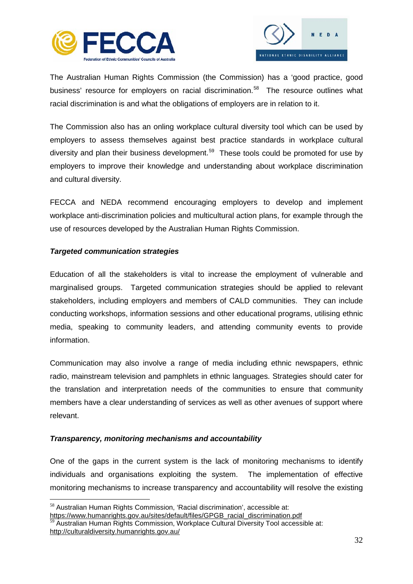



The Australian Human Rights Commission (the Commission) has a 'good practice, good business' resource for employers on racial discrimination.<sup>[58](#page-34-1)</sup> The resource outlines what racial discrimination is and what the obligations of employers are in relation to it.

The Commission also has an onling workplace cultural diversity tool which can be used by employers to assess themselves against best practice standards in workplace cultural diversity and plan their business development.<sup>[59](#page-34-2)</sup> These tools could be promoted for use by employers to improve their knowledge and understanding about workplace discrimination and cultural diversity.

FECCA and NEDA recommend encouraging employers to develop and implement workplace anti-discrimination policies and multicultural action plans, for example through the use of resources developed by the Australian Human Rights Commission.

# <span id="page-34-0"></span>*Targeted communication strategies*

Education of all the stakeholders is vital to increase the employment of vulnerable and marginalised groups. Targeted communication strategies should be applied to relevant stakeholders, including employers and members of CALD communities. They can include conducting workshops, information sessions and other educational programs, utilising ethnic media, speaking to community leaders, and attending community events to provide information.

Communication may also involve a range of media including ethnic newspapers, ethnic radio, mainstream television and pamphlets in ethnic languages. Strategies should cater for the translation and interpretation needs of the communities to ensure that community members have a clear understanding of services as well as other avenues of support where relevant.

# *Transparency, monitoring mechanisms and accountability*

One of the gaps in the current system is the lack of monitoring mechanisms to identify individuals and organisations exploiting the system. The implementation of effective monitoring mechanisms to increase transparency and accountability will resolve the existing

<span id="page-34-1"></span> <sup>58</sup> Australian Human Rights Commission, 'Racial discrimination', accessible at: [https://www.humanrights.gov.au/sites/default/files/GPGB\\_racial\\_discrimination.pdf](https://www.humanrights.gov.au/sites/default/files/GPGB_racial_discrimination.pdf)

<span id="page-34-2"></span><sup>59</sup> Australian Human Rights Commission, Workplace Cultural Diversity Tool accessible at: <http://culturaldiversity.humanrights.gov.au/>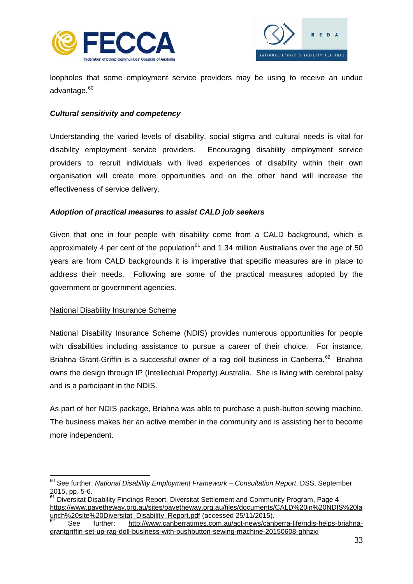



loopholes that some employment service providers may be using to receive an undue advantage.<sup>[60](#page-35-2)</sup>

# <span id="page-35-0"></span>*Cultural sensitivity and competency*

Understanding the varied levels of disability, social stigma and cultural needs is vital for disability employment service providers. Encouraging disability employment service providers to recruit individuals with lived experiences of disability within their own organisation will create more opportunities and on the other hand will increase the effectiveness of service delivery.

# <span id="page-35-1"></span>*Adoption of practical measures to assist CALD job seekers*

Given that one in four people with disability come from a CALD background, which is approximately 4 per cent of the population<sup>[61](#page-35-3)</sup> and 1.34 million Australians over the age of 50 years are from CALD backgrounds it is imperative that specific measures are in place to address their needs. Following are some of the practical measures adopted by the government or government agencies.

# National Disability Insurance Scheme

National Disability Insurance Scheme (NDIS) provides numerous opportunities for people with disabilities including assistance to pursue a career of their choice. For instance, Briahna Grant-Griffin is a successful owner of a rag doll business in Canberra.<sup>[62](#page-35-4)</sup> Briahna owns the design through IP (Intellectual Property) Australia. She is living with cerebral palsy and is a participant in the NDIS.

As part of her NDIS package, Briahna was able to purchase a push-button sewing machine. The business makes her an active member in the community and is assisting her to become more independent.

<span id="page-35-2"></span><sup>60</sup> See further: *National Disability Employment Framework – Consultation Report*, DSS, September 2015, pp. 5-6.

<span id="page-35-3"></span> $61$  Diversitat Disability Findings Report, Diversitat Settlement and Community Program, Page 4 [https://www.pavetheway.org.au/sites/pavetheway.org.au/files/documents/CALD%20in%20NDIS%20la](https://www.pavetheway.org.au/sites/pavetheway.org.au/files/documents/CALD%20in%20NDIS%20launch%20site%20Diversitat_Disability_Report.pdf)<br>unch%20site%20Diversitat\_Disability\_Report.pdf (accessed 25/11/2015).

<span id="page-35-4"></span>See further: [http://www.canberratimes.com.au/act-news/canberra-life/ndis-helps-briahna](http://www.canberratimes.com.au/act-news/canberra-life/ndis-helps-briahna-grantgriffin-set-up-rag-doll-business-with-pushbutton-sewing-machine-20150608-ghhzxi)[grantgriffin-set-up-rag-doll-business-with-pushbutton-sewing-machine-20150608-ghhzxi](http://www.canberratimes.com.au/act-news/canberra-life/ndis-helps-briahna-grantgriffin-set-up-rag-doll-business-with-pushbutton-sewing-machine-20150608-ghhzxi)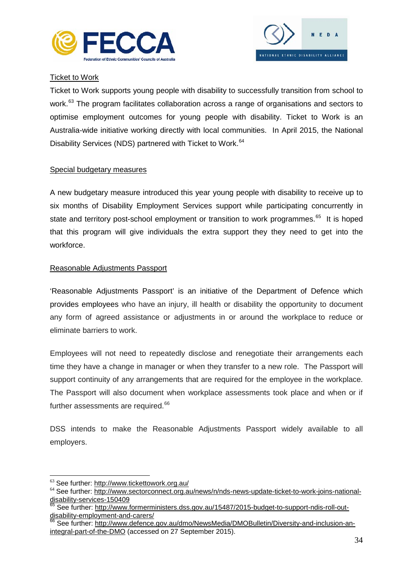



# Ticket to Work

Ticket to Work supports young people with disability to successfully transition from school to work.<sup>[63](#page-36-0)</sup> The program facilitates collaboration across a range of organisations and sectors to optimise employment outcomes for young people with disability. Ticket to Work is an Australia-wide initiative working directly with local communities. In April 2015, the National Disability Services (NDS) partnered with Ticket to Work.<sup>[64](#page-36-1)</sup>

# Special budgetary measures

A new budgetary measure introduced this year young people with disability to receive up to six months of Disability Employment Services support while participating concurrently in state and territory post-school employment or transition to work programmes.<sup>[65](#page-36-2)</sup> It is hoped that this program will give individuals the extra support they they need to get into the workforce.

# Reasonable Adjustments Passport

'Reasonable Adjustments Passport' is an initiative of the Department of Defence which provides employees who have an injury, ill health or disability the opportunity to document any form of agreed assistance or adjustments in or around the workplace to reduce or eliminate barriers to work.

Employees will not need to repeatedly disclose and renegotiate their arrangements each time they have a change in manager or when they transfer to a new role. The Passport will support continuity of any arrangements that are required for the employee in the workplace. The Passport will also document when workplace assessments took place and when or if further assessments are required.<sup>[66](#page-36-3)</sup>

DSS intends to make the Reasonable Adjustments Passport widely available to all employers.

<span id="page-36-1"></span><span id="page-36-0"></span> $63$  See further:<http://www.tickettowork.org.au/><br> $64$  See further: [http://www.sectorconnect.org.au/news/n/nds-news-update-ticket-to-work-joins-national](http://www.sectorconnect.org.au/news/n/nds-news-update-ticket-to-work-joins-national-disability-services-150409)[disability-services-150409](http://www.sectorconnect.org.au/news/n/nds-news-update-ticket-to-work-joins-national-disability-services-150409)

<span id="page-36-2"></span><sup>&</sup>lt;sup>65</sup> See further: [http://www.formerministers.dss.gov.au/15487/2015-budget-to-support-ndis-roll-out](http://www.formerministers.dss.gov.au/15487/2015-budget-to-support-ndis-roll-out-disability-employment-and-carers/)[disability-employment-and-carers/](http://www.formerministers.dss.gov.au/15487/2015-budget-to-support-ndis-roll-out-disability-employment-and-carers/)

<span id="page-36-3"></span><sup>66</sup> See further: [http://www.defence.gov.au/dmo/NewsMedia/DMOBulletin/Diversity-and-inclusion-an](http://www.defence.gov.au/dmo/NewsMedia/DMOBulletin/Diversity-and-inclusion-an-integral-part-of-the-DMO)[integral-part-of-the-DMO](http://www.defence.gov.au/dmo/NewsMedia/DMOBulletin/Diversity-and-inclusion-an-integral-part-of-the-DMO) (accessed on 27 September 2015).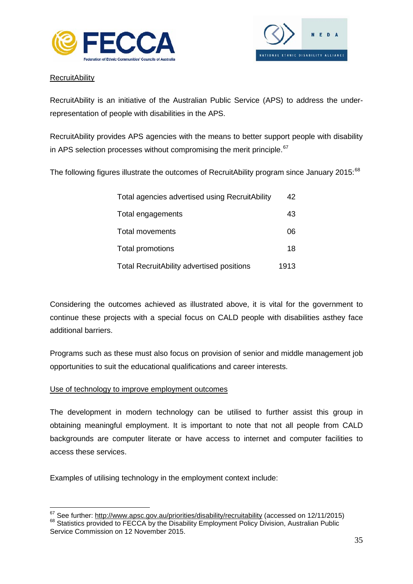



# **RecruitAbility**

RecruitAbility is an initiative of the Australian Public Service (APS) to address the underrepresentation of people with disabilities in the APS.

RecruitAbility provides APS agencies with the means to better support people with disability in APS selection processes without compromising the merit principle.<sup>[67](#page-37-0)</sup>

The following figures illustrate the outcomes of RecruitAbility program since January 2015:<sup>[68](#page-37-1)</sup>

| Total agencies advertised using RecruitAbility   | 42   |
|--------------------------------------------------|------|
| Total engagements                                | 43   |
| <b>Total movements</b>                           | 06   |
| <b>Total promotions</b>                          | 18   |
| <b>Total RecruitAbility advertised positions</b> | 1913 |

Considering the outcomes achieved as illustrated above, it is vital for the government to continue these projects with a special focus on CALD people with disabilities asthey face additional barriers.

Programs such as these must also focus on provision of senior and middle management job opportunities to suit the educational qualifications and career interests.

# Use of technology to improve employment outcomes

The development in modern technology can be utilised to further assist this group in obtaining meaningful employment. It is important to note that not all people from CALD backgrounds are computer literate or have access to internet and computer facilities to access these services.

Examples of utilising technology in the employment context include:

<span id="page-37-0"></span> $67$  See further:<http://www.apsc.gov.au/priorities/disability/recruitability> (accessed on 12/11/2015)  $68$  Statistics provided to FECCA by the Disability Employment Policy Division, Australian Public

<span id="page-37-1"></span>Service Commission on 12 November 2015.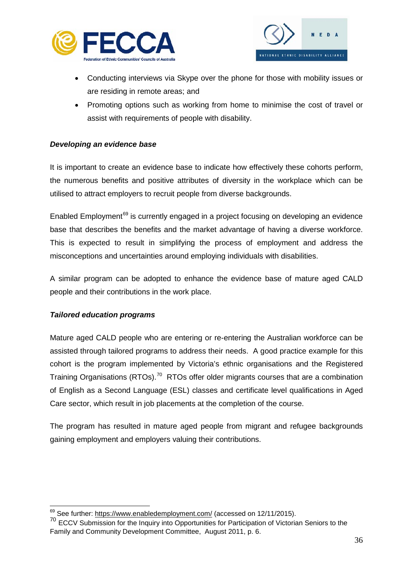



- Conducting interviews via Skype over the phone for those with mobility issues or are residing in remote areas; and
- Promoting options such as working from home to minimise the cost of travel or assist with requirements of people with disability.

# *Developing an evidence base*

It is important to create an evidence base to indicate how effectively these cohorts perform, the numerous benefits and positive attributes of diversity in the workplace which can be utilised to attract employers to recruit people from diverse backgrounds.

Enabled Employment<sup>[69](#page-38-1)</sup> is currently engaged in a project focusing on developing an evidence base that describes the benefits and the market advantage of having a diverse workforce. This is expected to result in simplifying the process of employment and address the misconceptions and uncertainties around employing individuals with disabilities.

A similar program can be adopted to enhance the evidence base of mature aged CALD people and their contributions in the work place.

# <span id="page-38-0"></span>*Tailored education programs*

Mature aged CALD people who are entering or re-entering the Australian workforce can be assisted through tailored programs to address their needs. A good practice example for this cohort is the program implemented by Victoria's ethnic organisations and the Registered Training Organisations (RTOs).<sup>[70](#page-38-2)</sup> RTOs offer older migrants courses that are a combination of English as a Second Language (ESL) classes and certificate level qualifications in Aged Care sector, which result in job placements at the completion of the course.

The program has resulted in mature aged people from migrant and refugee backgrounds gaining employment and employers valuing their contributions.

<sup>&</sup>lt;sup>69</sup> See further:<https://www.enabledemployment.com/> (accessed on 12/11/2015).

<span id="page-38-2"></span><span id="page-38-1"></span><sup>70</sup> ECCV Submission for the Inquiry into Opportunities for Participation of Victorian Seniors to the Family and Community Development Committee, August 2011, p. 6.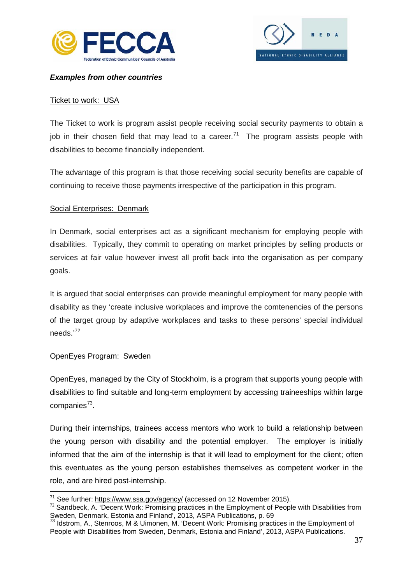



# <span id="page-39-0"></span>*Examples from other countries*

# <span id="page-39-1"></span>Ticket to work: USA

The Ticket to work is program assist people receiving social security payments to obtain a job in their chosen field that may lead to a career.<sup>[71](#page-39-4)</sup> The program assists people with disabilities to become financially independent.

The advantage of this program is that those receiving social security benefits are capable of continuing to receive those payments irrespective of the participation in this program.

# <span id="page-39-2"></span>Social Enterprises: Denmark

In Denmark, social enterprises act as a significant mechanism for employing people with disabilities. Typically, they commit to operating on market principles by selling products or services at fair value however invest all profit back into the organisation as per company goals.

It is argued that social enterprises can provide meaningful employment for many people with disability as they 'create inclusive workplaces and improve the comtenencies of the persons of the target group by adaptive workplaces and tasks to these persons' special individual needs.'[72](#page-39-5) 

# <span id="page-39-3"></span>OpenEyes Program: Sweden

OpenEyes, managed by the City of Stockholm, is a program that supports young people with disabilities to find suitable and long-term employment by accessing traineeships within large companies $73$ .

During their internships, trainees access mentors who work to build a relationship between the young person with disability and the potential employer. The employer is initially informed that the aim of the internship is that it will lead to employment for the client; often this eventuates as the young person establishes themselves as competent worker in the role, and are hired post-internship.

<span id="page-39-5"></span><span id="page-39-4"></span><sup>&</sup>lt;sup>71</sup> See further:<https://www.ssa.gov/agency/> (accessed on 12 November 2015).<br><sup>72</sup> Sandbeck, A. 'Decent Work: Promising practices in the Employment of People with Disabilities from Sweden, Denmark, Estonia and Finland<sup>"</sup>, 2013, ASPA Publications, p. 69<br><sup>73</sup> Idstrom, A., Stenroos, M & Uimonen, M. 'Decent Work: Promising practices in the Employment of

<span id="page-39-6"></span>People with Disabilities from Sweden, Denmark, Estonia and Finland', 2013, ASPA Publications.